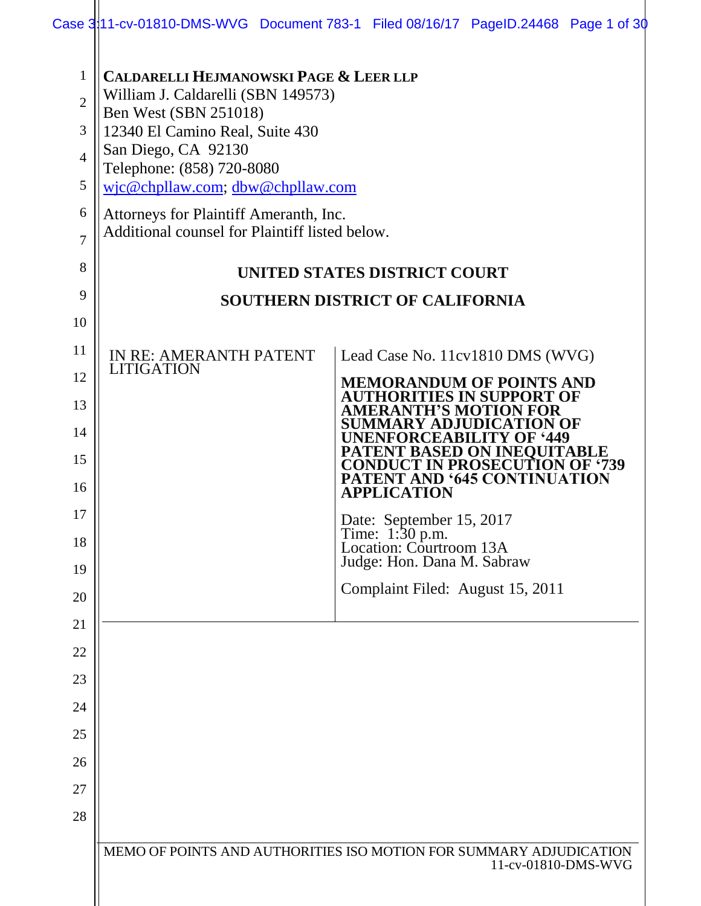| $\mathbf{1}$<br>$\overline{2}$<br>3<br>$\overline{4}$<br>5 | <b>CALDARELLI HEJMANOWSKI PAGE &amp; LEER LLP</b><br>William J. Caldarelli (SBN 149573)<br><b>Ben West (SBN 251018)</b><br>12340 El Camino Real, Suite 430<br>San Diego, CA 92130<br>Telephone: (858) 720-8080<br>wjc@chpllaw.com; dbw@chpllaw.com |                                                                                                    |
|------------------------------------------------------------|----------------------------------------------------------------------------------------------------------------------------------------------------------------------------------------------------------------------------------------------------|----------------------------------------------------------------------------------------------------|
| 6<br>7                                                     | Attorneys for Plaintiff Ameranth, Inc.<br>Additional counsel for Plaintiff listed below.                                                                                                                                                           |                                                                                                    |
| 8                                                          |                                                                                                                                                                                                                                                    | UNITED STATES DISTRICT COURT                                                                       |
| 9                                                          |                                                                                                                                                                                                                                                    | <b>SOUTHERN DISTRICT OF CALIFORNIA</b>                                                             |
| 10                                                         |                                                                                                                                                                                                                                                    |                                                                                                    |
| 11                                                         | IN RE: AMERANTH PATENT<br><b>LITIGATION</b>                                                                                                                                                                                                        | Lead Case No. 11cv1810 DMS (WVG)                                                                   |
| 12                                                         |                                                                                                                                                                                                                                                    | <b>MEMORANDUM OF POINTS AND</b><br><b>AUTHORITIES IN SUPPORT OF</b>                                |
| 13                                                         |                                                                                                                                                                                                                                                    | <b>AMERANTH'S MOTION FOR</b><br>SUMMARY ADJUDICATION OF                                            |
| 14<br>15                                                   |                                                                                                                                                                                                                                                    | <b>UNENFORCEABILITY OF '449</b><br><b>PATENT BASED ON INEOUITABLE</b>                              |
| 16                                                         |                                                                                                                                                                                                                                                    | <b>CONDUCT IN PROSECUTION OF '739</b><br><b>PATENT AND '645 CONTINUATION</b><br><b>APPLICATION</b> |
| 17                                                         |                                                                                                                                                                                                                                                    | Date: September 15, 2017                                                                           |
| 18                                                         |                                                                                                                                                                                                                                                    | Time: 1:30 p.m.<br>Location: Courtroom 13A                                                         |
| 19                                                         |                                                                                                                                                                                                                                                    | Judge: Hon. Dana M. Sabraw                                                                         |
| 20                                                         |                                                                                                                                                                                                                                                    | Complaint Filed: August 15, 2011                                                                   |
| 21                                                         |                                                                                                                                                                                                                                                    |                                                                                                    |
| 22                                                         |                                                                                                                                                                                                                                                    |                                                                                                    |
| 23                                                         |                                                                                                                                                                                                                                                    |                                                                                                    |
| 24                                                         |                                                                                                                                                                                                                                                    |                                                                                                    |
| 25                                                         |                                                                                                                                                                                                                                                    |                                                                                                    |
| 26                                                         |                                                                                                                                                                                                                                                    |                                                                                                    |
| 27                                                         |                                                                                                                                                                                                                                                    |                                                                                                    |
| 28                                                         |                                                                                                                                                                                                                                                    |                                                                                                    |
|                                                            |                                                                                                                                                                                                                                                    | MEMO OF POINTS AND AUTHORITIES ISO MOTION FOR SUMMARY ADJUDICATION<br>11-cv-01810-DMS-WVG          |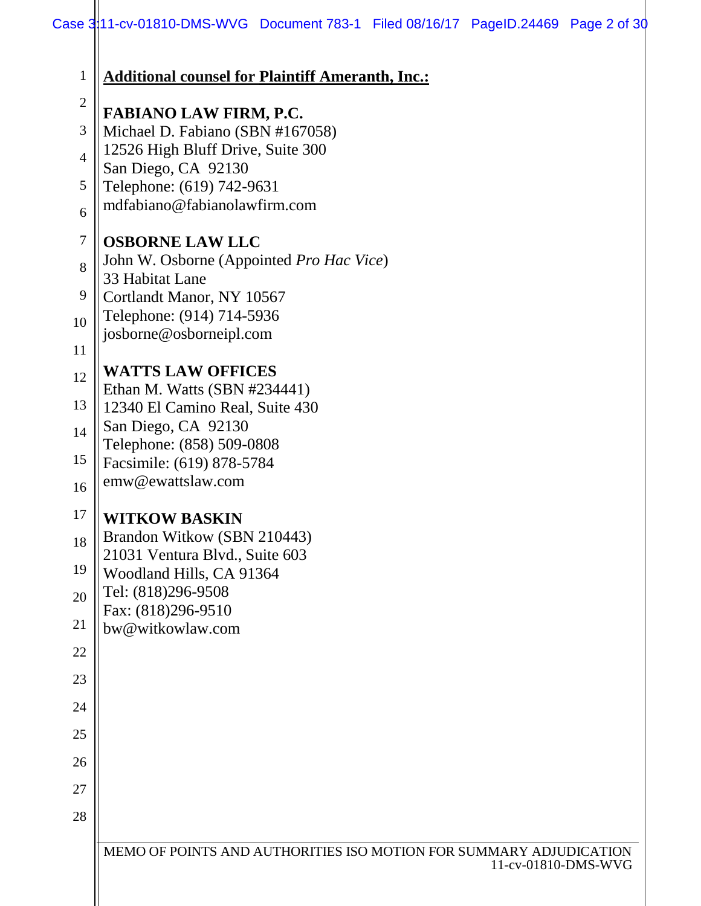| $\mathbf{1}$   | <b>Additional counsel for Plaintiff Ameranth, Inc.:</b>                                   |
|----------------|-------------------------------------------------------------------------------------------|
| $\overline{2}$ | <b>FABIANO LAW FIRM, P.C.</b>                                                             |
| 3              | Michael D. Fabiano (SBN #167058)                                                          |
| $\overline{4}$ | 12526 High Bluff Drive, Suite 300                                                         |
| 5              | San Diego, CA 92130<br>Telephone: (619) 742-9631                                          |
| 6              | mdfabiano@fabianolawfirm.com                                                              |
| $\tau$         | <b>OSBORNE LAW LLC</b>                                                                    |
| 8              | John W. Osborne (Appointed Pro Hac Vice)<br>33 Habitat Lane                               |
| 9              | Cortlandt Manor, NY 10567                                                                 |
| 10             | Telephone: (914) 714-5936                                                                 |
| 11             | josborne@osborneipl.com                                                                   |
| 12             | <b>WATTS LAW OFFICES</b>                                                                  |
|                | Ethan M. Watts (SBN #234441)                                                              |
| 13             | 12340 El Camino Real, Suite 430                                                           |
| 14             | San Diego, CA 92130<br>Telephone: (858) 509-0808                                          |
| 15             | Facsimile: (619) 878-5784                                                                 |
| 16             | emw@ewattslaw.com                                                                         |
| 17             | <b>WITKOW BASKIN</b>                                                                      |
| 18             | Brandon Witkow (SBN 210443)                                                               |
| 19             | 21031 Ventura Blvd., Suite 603<br>Woodland Hills, CA 91364                                |
| 20             | Tel: (818)296-9508                                                                        |
| 21             | Fax: (818)296-9510<br>bw@witkowlaw.com                                                    |
| 22             |                                                                                           |
| 23             |                                                                                           |
| 24             |                                                                                           |
| 25             |                                                                                           |
| 26             |                                                                                           |
| 27             |                                                                                           |
| 28             |                                                                                           |
|                |                                                                                           |
|                | MEMO OF POINTS AND AUTHORITIES ISO MOTION FOR SUMMARY ADJUDICATION<br>11-cv-01810-DMS-WVG |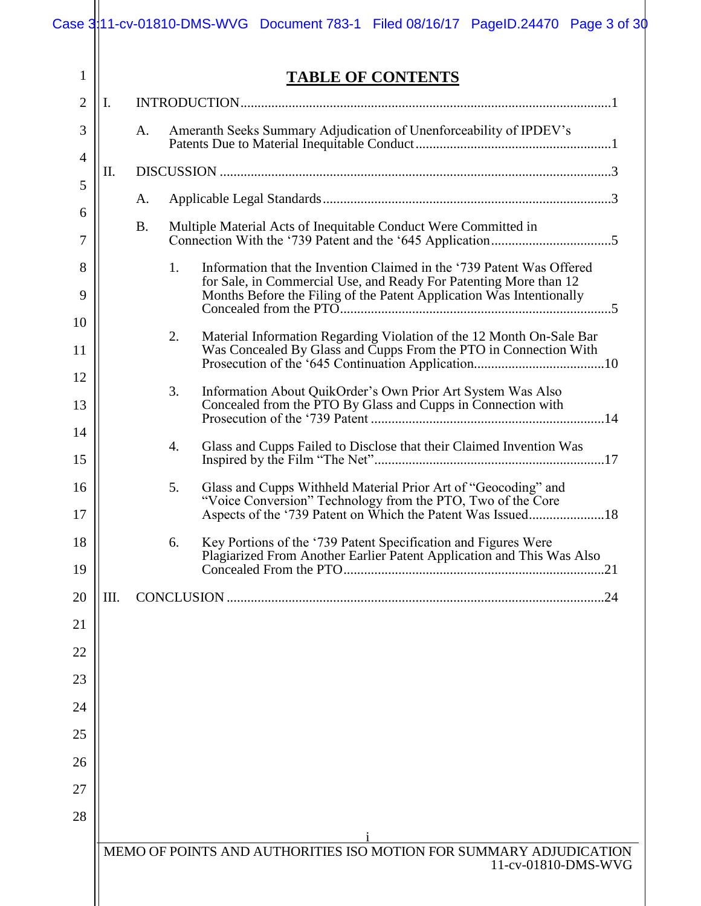|    | <b>TABLE OF CONTENTS</b>                                                                                                                                                                                                 |
|----|--------------------------------------------------------------------------------------------------------------------------------------------------------------------------------------------------------------------------|
| Ι. |                                                                                                                                                                                                                          |
|    | Ameranth Seeks Summary Adjudication of Unenforceability of IPDEV's<br>А.                                                                                                                                                 |
| Π. |                                                                                                                                                                                                                          |
|    | A.                                                                                                                                                                                                                       |
|    | Multiple Material Acts of Inequitable Conduct Were Committed in<br><b>B.</b>                                                                                                                                             |
|    | Information that the Invention Claimed in the '739 Patent Was Offered<br>1.<br>for Sale, in Commercial Use, and Ready For Patenting More than 12<br>Months Before the Filing of the Patent Application Was Intentionally |
|    | 2.<br>Material Information Regarding Violation of the 12 Month On-Sale Bar                                                                                                                                               |
|    | Was Concealed By Glass and Cupps From the PTO in Connection With                                                                                                                                                         |
|    | 3.<br>Information About QuikOrder's Own Prior Art System Was Also                                                                                                                                                        |
|    | Concealed from the PTO By Glass and Cupps in Connection with                                                                                                                                                             |
|    | Glass and Cupps Failed to Disclose that their Claimed Invention Was<br>4.                                                                                                                                                |
|    |                                                                                                                                                                                                                          |
|    | Glass and Cupps Withheld Material Prior Art of "Geocoding" and<br>5.<br>"Voice Conversion" Technology from the PTO, Two of the Core<br>Aspects of the '739 Patent on Which the Patent Was Issued18                       |
|    | Key Portions of the '739 Patent Specification and Figures Were<br>6.<br>Plagiarized From Another Earlier Patent Application and This Was Also                                                                            |
| Ш. |                                                                                                                                                                                                                          |
|    |                                                                                                                                                                                                                          |
|    |                                                                                                                                                                                                                          |
|    |                                                                                                                                                                                                                          |
|    |                                                                                                                                                                                                                          |
|    |                                                                                                                                                                                                                          |
|    |                                                                                                                                                                                                                          |
|    |                                                                                                                                                                                                                          |
|    |                                                                                                                                                                                                                          |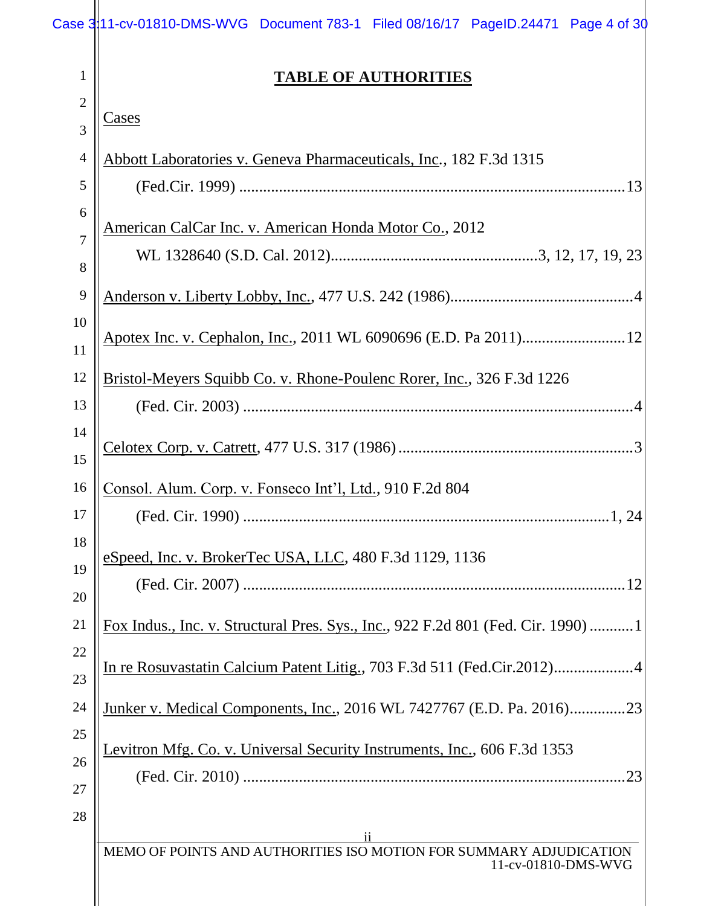|                | Case 3:11-cv-01810-DMS-WVG Document 783-1 Filed 08/16/17 PageID.24471 Page 4 of 30        |
|----------------|-------------------------------------------------------------------------------------------|
| 1              | <b>TABLE OF AUTHORITIES</b>                                                               |
| $\overline{2}$ |                                                                                           |
| $\overline{3}$ | <u>Cases</u>                                                                              |
| $\overline{4}$ | Abbott Laboratories v. Geneva Pharmaceuticals, Inc., 182 F.3d 1315                        |
| 5              |                                                                                           |
| 6<br>7         | American CalCar Inc. v. American Honda Motor Co., 2012                                    |
| 8              |                                                                                           |
| 9              |                                                                                           |
| 10             |                                                                                           |
| 11             |                                                                                           |
| 12             | Bristol-Meyers Squibb Co. v. Rhone-Poulenc Rorer, Inc., 326 F.3d 1226                     |
| 13<br>14       |                                                                                           |
| 15             |                                                                                           |
| 16             | Consol. Alum. Corp. v. Fonseco Int'l, Ltd., 910 F.2d 804                                  |
| $17\,$         |                                                                                           |
| 18             | eSpeed, Inc. v. BrokerTec USA, LLC, 480 F.3d 1129, 1136                                   |
| 19             |                                                                                           |
| 20<br>21       | Fox Indus., Inc. v. Structural Pres. Sys., Inc., 922 F.2d 801 (Fed. Cir. 1990)  1         |
| 22<br>23       |                                                                                           |
| 24             | Junker v. Medical Components, Inc., 2016 WL 7427767 (E.D. Pa. 2016)23                     |
| 25             | Levitron Mfg. Co. v. Universal Security Instruments, Inc., 606 F.3d 1353                  |
| 26<br>27       |                                                                                           |
| 28             | $\overline{11}$                                                                           |
|                | MEMO OF POINTS AND AUTHORITIES ISO MOTION FOR SUMMARY ADJUDICATION<br>11-cv-01810-DMS-WVG |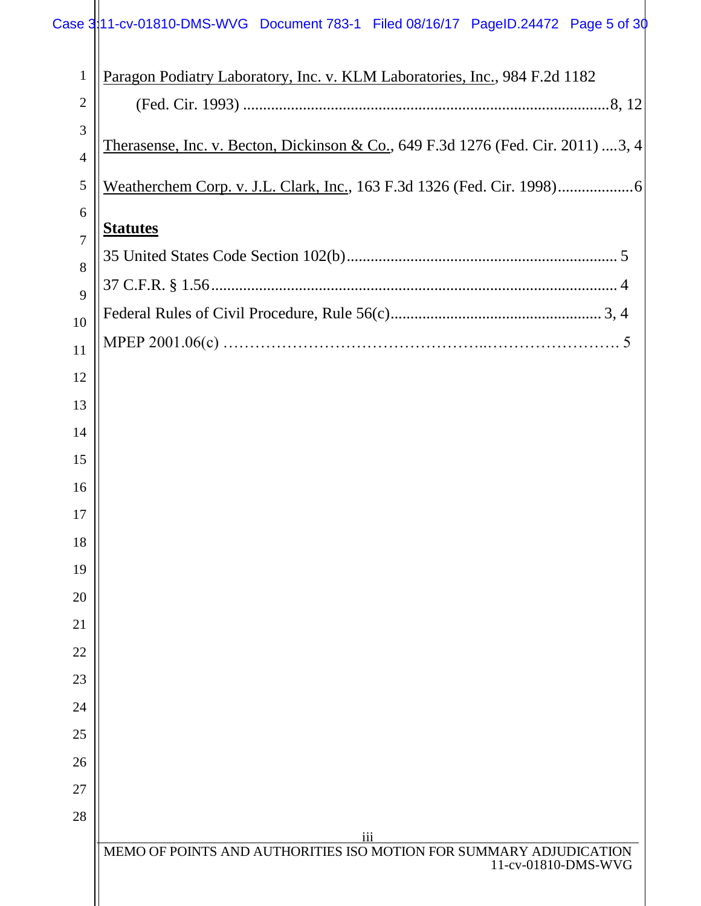## Case 3:11-cv-01810-DMS-WVG Document 783-1 Filed 08/16/17 PageID.24472 Page 5 of 30

| $\mathbf{1}$   | Paragon Podiatry Laboratory, Inc. v. KLM Laboratories, Inc., 984 F.2d 1182                   |
|----------------|----------------------------------------------------------------------------------------------|
| $\overline{2}$ |                                                                                              |
| 3              | <u>Therasense, Inc. v. Becton, Dickinson &amp; Co.</u> , 649 F.3d 1276 (Fed. Cir. 2011) 3, 4 |
| $\overline{4}$ |                                                                                              |
| 5              |                                                                                              |
| 6              | <b>Statutes</b>                                                                              |
| $\overline{7}$ |                                                                                              |
| 8              |                                                                                              |
| 9              |                                                                                              |
| 10             |                                                                                              |
| 11             |                                                                                              |
| 12             |                                                                                              |
| 13             |                                                                                              |
| 14             |                                                                                              |
| 15             |                                                                                              |
| 16             |                                                                                              |
| 17             |                                                                                              |
| 18             |                                                                                              |
| 19             |                                                                                              |
| 20             |                                                                                              |
| 21             |                                                                                              |
| 22             |                                                                                              |
| 23             |                                                                                              |
| 24             |                                                                                              |
| 25             |                                                                                              |
| 26             |                                                                                              |
| 27             |                                                                                              |
| 28             |                                                                                              |
|                | iii<br>MEMO OF POINTS AND AUTHORITIES ISO MOTION FOR SUMMARY ADJUDICATION                    |
|                | 11-cv-01810-DMS-WVG                                                                          |
|                |                                                                                              |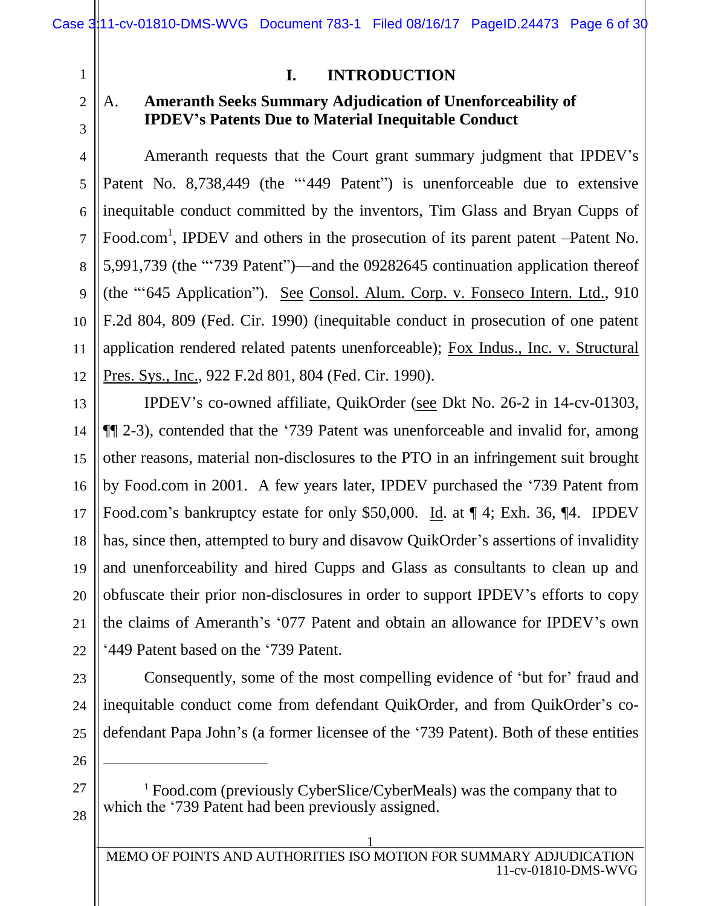3

4

5

6

7

8

9

10

11

12

## **I. INTRODUCTION**

## A. **Ameranth Seeks Summary Adjudication of Unenforceability of IPDEV's Patents Due to Material Inequitable Conduct**

Ameranth requests that the Court grant summary judgment that IPDEV's Patent No. 8,738,449 (the "'449 Patent") is unenforceable due to extensive inequitable conduct committed by the inventors, Tim Glass and Bryan Cupps of Food.com<sup>1</sup>, IPDEV and others in the prosecution of its parent patent –Patent No. 5,991,739 (the "'739 Patent")—and the 09282645 continuation application thereof (the "'645 Application"). See Consol. Alum. Corp. v. Fonseco Intern. Ltd., 910 F.2d 804, 809 (Fed. Cir. 1990) (inequitable conduct in prosecution of one patent application rendered related patents unenforceable); Fox Indus., Inc. v. Structural Pres. Sys., Inc., 922 F.2d 801, 804 (Fed. Cir. 1990).

13 14 15 16 17 18 19 20 21 22 IPDEV's co-owned affiliate, QuikOrder (see Dkt No. 26-2 in 14-cv-01303, ¶¶ 2-3), contended that the '739 Patent was unenforceable and invalid for, among other reasons, material non-disclosures to the PTO in an infringement suit brought by Food.com in 2001. A few years later, IPDEV purchased the '739 Patent from Food.com's bankruptcy estate for only \$50,000. Id. at ¶ 4; Exh. 36, ¶4. IPDEV has, since then, attempted to bury and disavow QuikOrder's assertions of invalidity and unenforceability and hired Cupps and Glass as consultants to clean up and obfuscate their prior non-disclosures in order to support IPDEV's efforts to copy the claims of Ameranth's '077 Patent and obtain an allowance for IPDEV's own '449 Patent based on the '739 Patent.

23 24 25 Consequently, some of the most compelling evidence of 'but for' fraud and inequitable conduct come from defendant QuikOrder, and from QuikOrder's codefendant Papa John's (a former licensee of the '739 Patent). Both of these entities

27 28

26

 $\overline{a}$ 

<sup>&</sup>lt;sup>1</sup> Food.com (previously CyberSlice/CyberMeals) was the company that to which the '739 Patent had been previously assigned.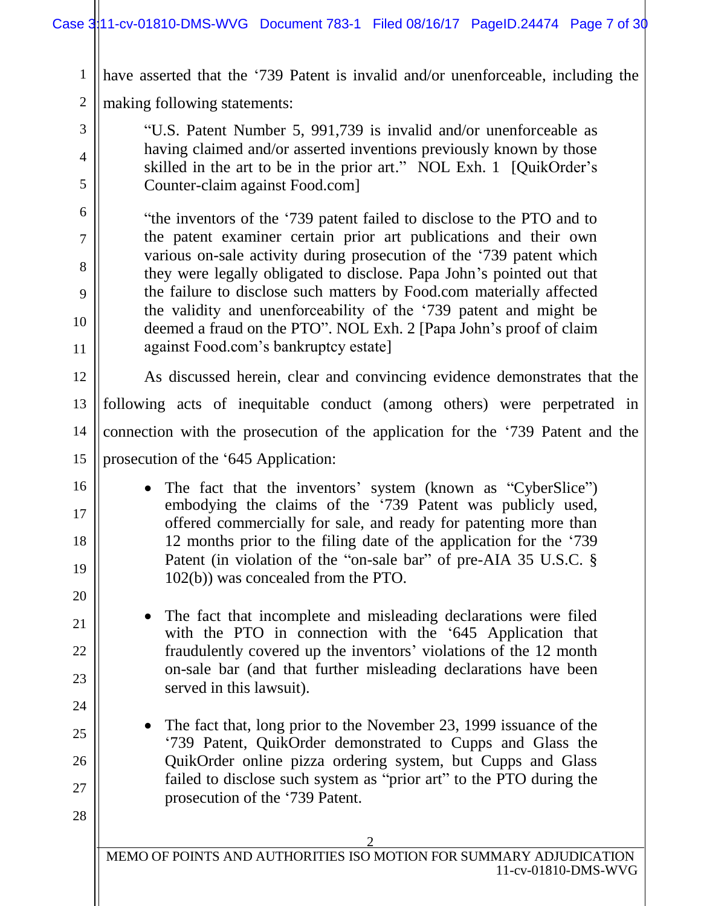1 have asserted that the '739 Patent is invalid and/or unenforceable, including the

2 making following statements:

3

4

5

6

7

8

9

10

11

16

17

18

19

20

21

22

23

24

25

26

27

28

"U.S. Patent Number 5, 991,739 is invalid and/or unenforceable as having claimed and/or asserted inventions previously known by those skilled in the art to be in the prior art." NOL Exh. 1 [QuikOrder's Counter-claim against Food.com]

"the inventors of the '739 patent failed to disclose to the PTO and to the patent examiner certain prior art publications and their own various on-sale activity during prosecution of the '739 patent which they were legally obligated to disclose. Papa John's pointed out that the failure to disclose such matters by Food.com materially affected the validity and unenforceability of the '739 patent and might be deemed a fraud on the PTO". NOL Exh. 2 [Papa John's proof of claim against Food.com's bankruptcy estate]

12 13 14 15 As discussed herein, clear and convincing evidence demonstrates that the following acts of inequitable conduct (among others) were perpetrated in connection with the prosecution of the application for the '739 Patent and the prosecution of the '645 Application:

- The fact that the inventors' system (known as "CyberSlice") embodying the claims of the '739 Patent was publicly used, offered commercially for sale, and ready for patenting more than 12 months prior to the filing date of the application for the '739 Patent (in violation of the "on-sale bar" of pre-AIA 35 U.S.C. § 102(b)) was concealed from the PTO.
- The fact that incomplete and misleading declarations were filed with the PTO in connection with the '645 Application that fraudulently covered up the inventors' violations of the 12 month on-sale bar (and that further misleading declarations have been served in this lawsuit).
	- The fact that, long prior to the November 23, 1999 issuance of the '739 Patent, QuikOrder demonstrated to Cupps and Glass the QuikOrder online pizza ordering system, but Cupps and Glass failed to disclose such system as "prior art" to the PTO during the prosecution of the '739 Patent.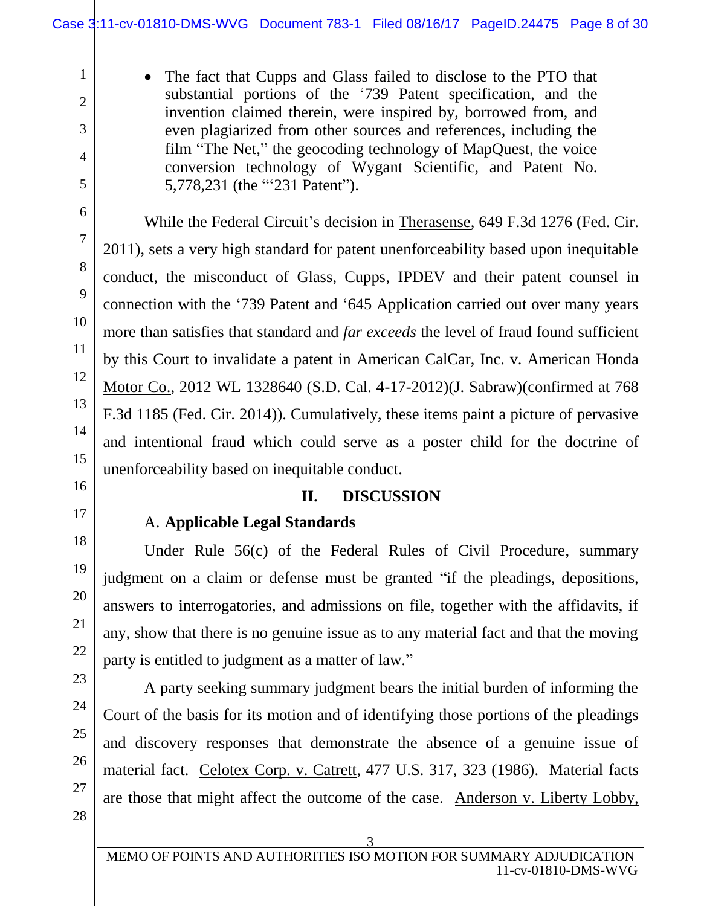• The fact that Cupps and Glass failed to disclose to the PTO that substantial portions of the '739 Patent specification, and the invention claimed therein, were inspired by, borrowed from, and even plagiarized from other sources and references, including the film "The Net," the geocoding technology of MapQuest, the voice conversion technology of Wygant Scientific, and Patent No. 5,778,231 (the "'231 Patent").

While the Federal Circuit's decision in Therasense, 649 F.3d 1276 (Fed. Cir. 2011), sets a very high standard for patent unenforceability based upon inequitable conduct, the misconduct of Glass, Cupps, IPDEV and their patent counsel in connection with the '739 Patent and '645 Application carried out over many years more than satisfies that standard and *far exceeds* the level of fraud found sufficient by this Court to invalidate a patent in American CalCar, Inc. v. American Honda Motor Co., 2012 WL 1328640 (S.D. Cal. 4-17-2012)(J. Sabraw)(confirmed at 768 F.3d 1185 (Fed. Cir. 2014)). Cumulatively, these items paint a picture of pervasive and intentional fraud which could serve as a poster child for the doctrine of unenforceability based on inequitable conduct.

### **II. DISCUSSION**

### A. **Applicable Legal Standards**

Under Rule 56(c) of the Federal Rules of Civil Procedure, summary judgment on a claim or defense must be granted "if the pleadings, depositions, answers to interrogatories, and admissions on file, together with the affidavits, if any, show that there is no genuine issue as to any material fact and that the moving party is entitled to judgment as a matter of law."

A party seeking summary judgment bears the initial burden of informing the Court of the basis for its motion and of identifying those portions of the pleadings and discovery responses that demonstrate the absence of a genuine issue of material fact. Celotex Corp. v. Catrett, 477 U.S. 317, 323 (1986). Material facts are those that might affect the outcome of the case. Anderson v. Liberty Lobby,

1

2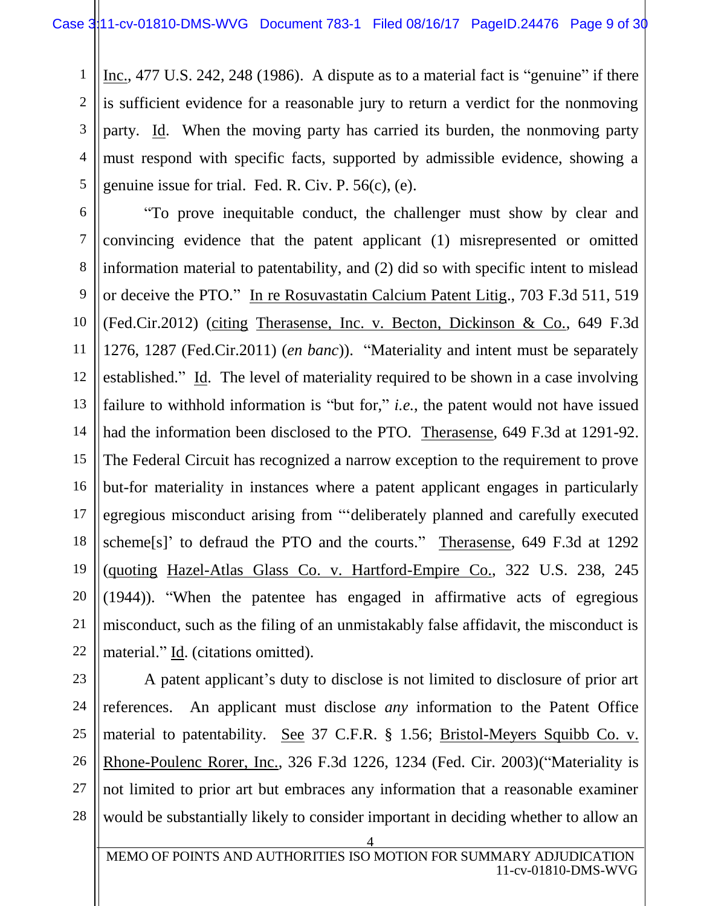Inc., 477 U.S. 242, 248 (1986). A dispute as to a material fact is "genuine" if there is sufficient evidence for a reasonable jury to return a verdict for the nonmoving party. Id. When the moving party has carried its burden, the nonmoving party must respond with specific facts, supported by admissible evidence, showing a genuine issue for trial. Fed. R. Civ. P. 56(c), (e).

6 7 8 9 10 11 12 13 14 15 16 17 18 19 "To prove inequitable conduct, the challenger must show by clear and convincing evidence that the patent applicant (1) misrepresented or omitted information material to patentability, and (2) did so with specific intent to mislead or deceive the PTO." In re Rosuvastatin Calcium Patent Litig., 703 F.3d 511, 519 (Fed.Cir.2012) (citing Therasense, Inc. v. Becton, Dickinson & Co., 649 F.3d 1276, 1287 (Fed.Cir.2011) (*en banc*)). "Materiality and intent must be separately established." Id. The level of materiality required to be shown in a case involving failure to withhold information is "but for," *i.e.*, the patent would not have issued had the information been disclosed to the PTO. Therasense, 649 F.3d at 1291-92. The Federal Circuit has recognized a narrow exception to the requirement to prove but-for materiality in instances where a patent applicant engages in particularly egregious misconduct arising from "'deliberately planned and carefully executed scheme[s]' to defraud the PTO and the courts." Therasense, 649 F.3d at 1292 (quoting Hazel-Atlas Glass Co. v. Hartford-Empire Co., 322 U.S. 238, 245 (1944)). "When the patentee has engaged in affirmative acts of egregious misconduct, such as the filing of an unmistakably false affidavit, the misconduct is material." Id. (citations omitted).

28

1

2

3

4

5

A patent applicant's duty to disclose is not limited to disclosure of prior art references. An applicant must disclose *any* information to the Patent Office material to patentability. See 37 C.F.R. § 1.56; Bristol-Meyers Squibb Co. v. Rhone-Poulenc Rorer, Inc., 326 F.3d 1226, 1234 (Fed. Cir. 2003)("Materiality is not limited to prior art but embraces any information that a reasonable examiner would be substantially likely to consider important in deciding whether to allow an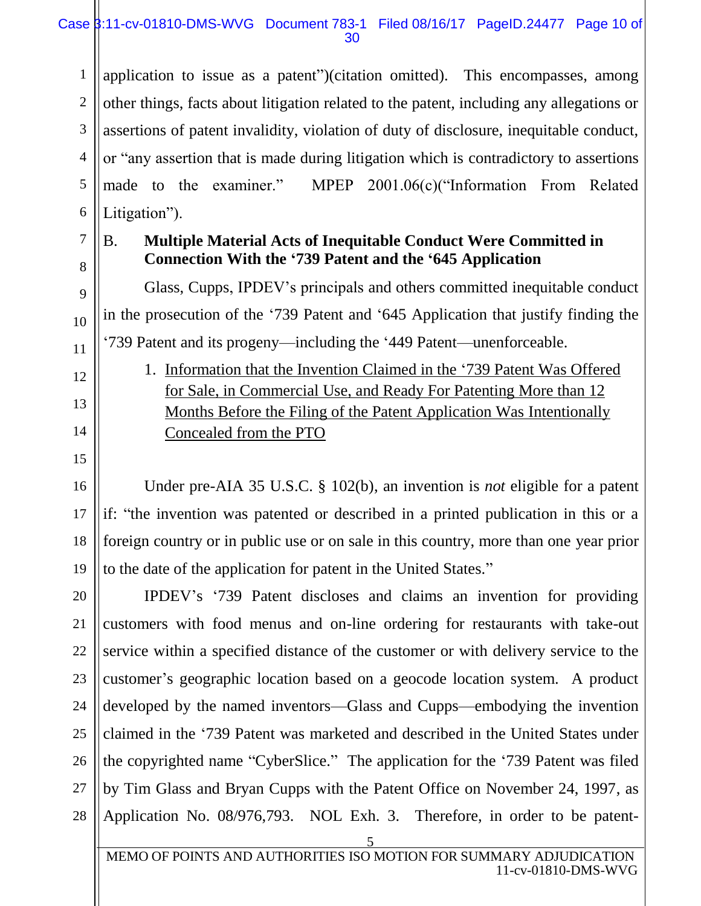1 2 3 4 5 6 application to issue as a patent")(citation omitted). This encompasses, among other things, facts about litigation related to the patent, including any allegations or assertions of patent invalidity, violation of duty of disclosure, inequitable conduct, or "any assertion that is made during litigation which is contradictory to assertions made to the examiner." MPEP 2001.06(c)("Information From Related Litigation").

7 8

9

10

11

12

13

14

15

16

17

18

19

## B. **Multiple Material Acts of Inequitable Conduct Were Committed in Connection With the '739 Patent and the '645 Application**

Glass, Cupps, IPDEV's principals and others committed inequitable conduct in the prosecution of the '739 Patent and '645 Application that justify finding the '739 Patent and its progeny—including the '449 Patent—unenforceable.

1. Information that the Invention Claimed in the '739 Patent Was Offered for Sale, in Commercial Use, and Ready For Patenting More than 12 Months Before the Filing of the Patent Application Was Intentionally Concealed from the PTO

Under pre-AIA 35 U.S.C. § 102(b), an invention is *not* eligible for a patent if: "the invention was patented or described in a printed publication in this or a foreign country or in public use or on sale in this country, more than one year prior to the date of the application for patent in the United States."

20 21 22 23 24 25 26 27 28 IPDEV's '739 Patent discloses and claims an invention for providing customers with food menus and on-line ordering for restaurants with take-out service within a specified distance of the customer or with delivery service to the customer's geographic location based on a geocode location system. A product developed by the named inventors—Glass and Cupps—embodying the invention claimed in the '739 Patent was marketed and described in the United States under the copyrighted name "CyberSlice." The application for the '739 Patent was filed by Tim Glass and Bryan Cupps with the Patent Office on November 24, 1997, as Application No. 08/976,793. NOL Exh. 3. Therefore, in order to be patent-

5 MEMO OF POINTS AND AUTHORITIES ISO MOTION FOR SUMMARY ADJUDICATION 11-cv-01810-DMS-WVG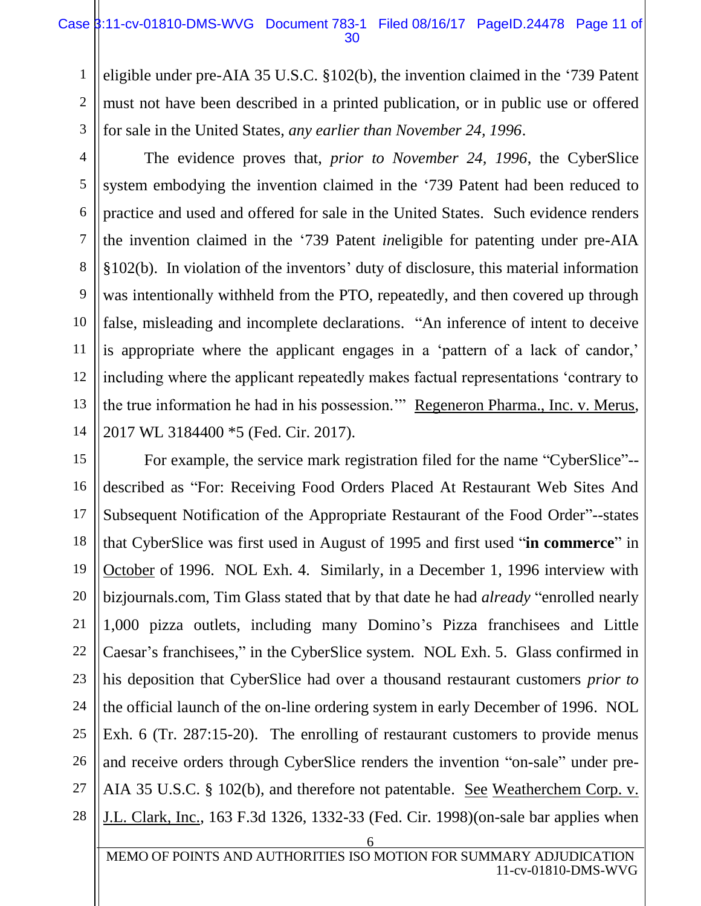1

2

3

4

5

6

7

8

9

10

11

12

13

14

17

21

27

eligible under pre-AIA 35 U.S.C. §102(b), the invention claimed in the '739 Patent must not have been described in a printed publication, or in public use or offered for sale in the United States, *any earlier than November 24, 1996*.

The evidence proves that, *prior to November 24, 1996*, the CyberSlice system embodying the invention claimed in the '739 Patent had been reduced to practice and used and offered for sale in the United States. Such evidence renders the invention claimed in the '739 Patent *in*eligible for patenting under pre-AIA §102(b). In violation of the inventors' duty of disclosure, this material information was intentionally withheld from the PTO, repeatedly, and then covered up through false, misleading and incomplete declarations. "An inference of intent to deceive is appropriate where the applicant engages in a 'pattern of a lack of candor,' including where the applicant repeatedly makes factual representations 'contrary to the true information he had in his possession.'" Regeneron Pharma., Inc. v. Merus, 2017 WL 3184400 \*5 (Fed. Cir. 2017).

15 16 18 19 20 22 23 24 25 26 28 For example, the service mark registration filed for the name "CyberSlice"- described as "For: Receiving Food Orders Placed At Restaurant Web Sites And Subsequent Notification of the Appropriate Restaurant of the Food Order"--states that CyberSlice was first used in August of 1995 and first used "**in commerce**" in October of 1996. NOL Exh. 4. Similarly, in a December 1, 1996 interview with bizjournals.com, Tim Glass stated that by that date he had *already* "enrolled nearly 1,000 pizza outlets, including many Domino's Pizza franchisees and Little Caesar's franchisees," in the CyberSlice system. NOL Exh. 5. Glass confirmed in his deposition that CyberSlice had over a thousand restaurant customers *prior to* the official launch of the on-line ordering system in early December of 1996. NOL Exh. 6 (Tr. 287:15-20). The enrolling of restaurant customers to provide menus and receive orders through CyberSlice renders the invention "on-sale" under pre-AIA 35 U.S.C. § 102(b), and therefore not patentable. See Weatherchem Corp. v. J.L. Clark, Inc., 163 F.3d 1326, 1332-33 (Fed. Cir. 1998)(on-sale bar applies when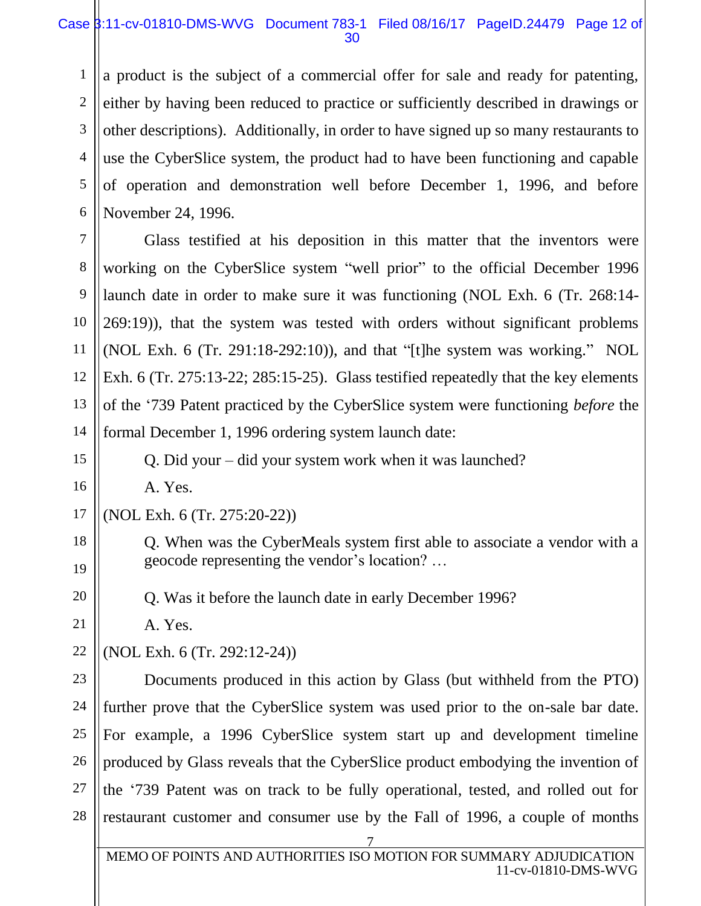#### Case 3:11-cv-01810-DMS-WVG Document 783-1 Filed 08/16/17 PageID.24479 Page 12 of 30

1 2 3 4 5 6 a product is the subject of a commercial offer for sale and ready for patenting, either by having been reduced to practice or sufficiently described in drawings or other descriptions). Additionally, in order to have signed up so many restaurants to use the CyberSlice system, the product had to have been functioning and capable of operation and demonstration well before December 1, 1996, and before November 24, 1996.

7 8 9 10 11 12 13 14 Glass testified at his deposition in this matter that the inventors were working on the CyberSlice system "well prior" to the official December 1996 launch date in order to make sure it was functioning (NOL Exh. 6 (Tr. 268:14- 269:19)), that the system was tested with orders without significant problems (NOL Exh. 6 (Tr. 291:18-292:10)), and that "[t]he system was working." NOL Exh. 6 (Tr. 275:13-22; 285:15-25). Glass testified repeatedly that the key elements of the '739 Patent practiced by the CyberSlice system were functioning *before* the formal December 1, 1996 ordering system launch date:

Q. Did your – did your system work when it was launched?

A. Yes.

15

16

18

19

20

21

22

17 (NOL Exh. 6 (Tr. 275:20-22))

> Q. When was the CyberMeals system first able to associate a vendor with a geocode representing the vendor's location? …

Q. Was it before the launch date in early December 1996?

A. Yes.

(NOL Exh. 6 (Tr. 292:12-24))

23 24 25 26 27 28 Documents produced in this action by Glass (but withheld from the PTO) further prove that the CyberSlice system was used prior to the on-sale bar date. For example, a 1996 CyberSlice system start up and development timeline produced by Glass reveals that the CyberSlice product embodying the invention of the '739 Patent was on track to be fully operational, tested, and rolled out for restaurant customer and consumer use by the Fall of 1996, a couple of months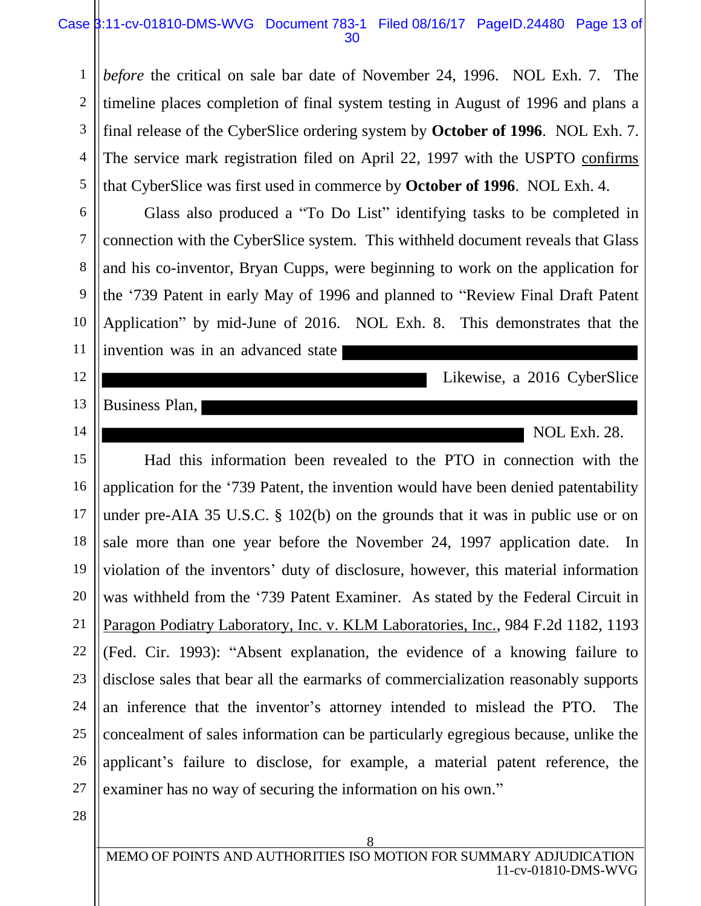#### Case  $\frac{1}{3}$ :11-cv-01810-DMS-WVG Document 783-1 Filed 08/16/17 PageID.24480 Page 13 of 30

5 *before* the critical on sale bar date of November 24, 1996. NOL Exh. 7. The timeline places completion of final system testing in August of 1996 and plans a final release of the CyberSlice ordering system by **October of 1996**. NOL Exh. 7. The service mark registration filed on April 22, 1997 with the USPTO confirms that CyberSlice was first used in commerce by **October of 1996**. NOL Exh. 4.

Glass also produced a "To Do List" identifying tasks to be completed in connection with the CyberSlice system. This withheld document reveals that Glass and his co-inventor, Bryan Cupps, were beginning to work on the application for the '739 Patent in early May of 1996 and planned to "Review Final Draft Patent Application" by mid-June of 2016. NOL Exh. 8. This demonstrates that the invention was in an advanced state

Likewise, a 2016 CyberSlice

Business Plan,

1

2

3

4

6

7

8

9

10

11

12

13

14

NOL Exh. 28.

15 16 17 18 19 20 21 22 23 24 25 26 27 Had this information been revealed to the PTO in connection with the application for the '739 Patent, the invention would have been denied patentability under pre-AIA 35 U.S.C. § 102(b) on the grounds that it was in public use or on sale more than one year before the November 24, 1997 application date. In violation of the inventors' duty of disclosure, however, this material information was withheld from the '739 Patent Examiner. As stated by the Federal Circuit in Paragon Podiatry Laboratory, Inc. v. KLM Laboratories, Inc., 984 F.2d 1182, 1193 (Fed. Cir. 1993): "Absent explanation, the evidence of a knowing failure to disclose sales that bear all the earmarks of commercialization reasonably supports an inference that the inventor's attorney intended to mislead the PTO. The concealment of sales information can be particularly egregious because, unlike the applicant's failure to disclose, for example, a material patent reference, the examiner has no way of securing the information on his own."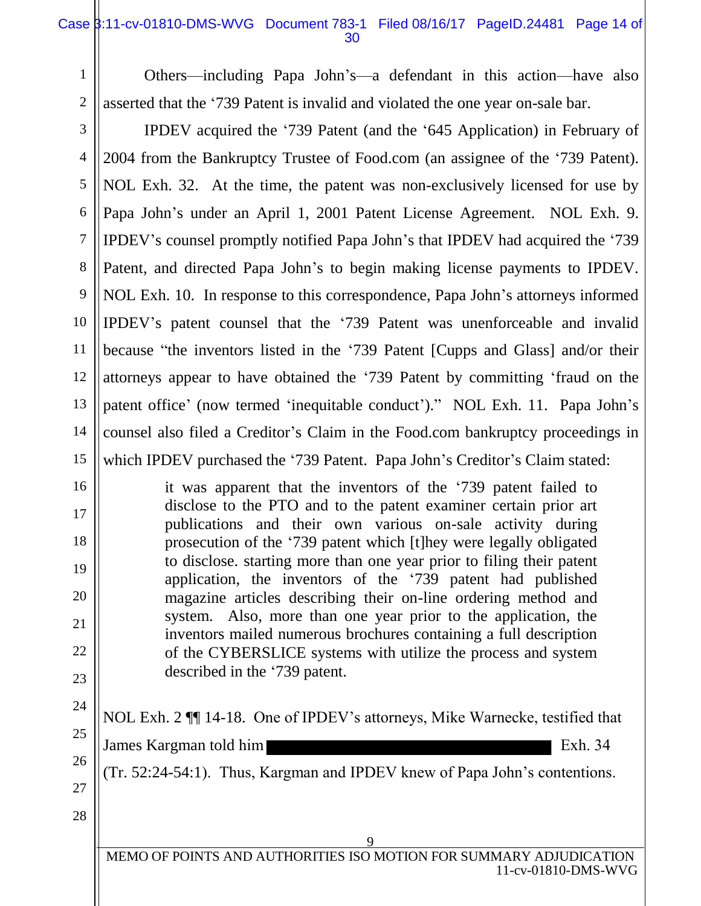#### Case  $\beta$ :11-cv-01810-DMS-WVG Document 783-1 Filed 08/16/17 PageID.24481 Page 14 of 30

1 2 Others—including Papa John's—a defendant in this action—have also asserted that the '739 Patent is invalid and violated the one year on-sale bar.

3 4 5 6 7 8 9 10 11 12 13 14 15 IPDEV acquired the '739 Patent (and the '645 Application) in February of 2004 from the Bankruptcy Trustee of Food.com (an assignee of the '739 Patent). NOL Exh. 32. At the time, the patent was non-exclusively licensed for use by Papa John's under an April 1, 2001 Patent License Agreement. NOL Exh. 9. IPDEV's counsel promptly notified Papa John's that IPDEV had acquired the '739 Patent, and directed Papa John's to begin making license payments to IPDEV. NOL Exh. 10. In response to this correspondence, Papa John's attorneys informed IPDEV's patent counsel that the '739 Patent was unenforceable and invalid because "the inventors listed in the '739 Patent [Cupps and Glass] and/or their attorneys appear to have obtained the '739 Patent by committing 'fraud on the patent office' (now termed 'inequitable conduct')." NOL Exh. 11. Papa John's counsel also filed a Creditor's Claim in the Food.com bankruptcy proceedings in which IPDEV purchased the '739 Patent. Papa John's Creditor's Claim stated:

it was apparent that the inventors of the '739 patent failed to disclose to the PTO and to the patent examiner certain prior art publications and their own various on-sale activity during prosecution of the '739 patent which [t]hey were legally obligated to disclose. starting more than one year prior to filing their patent application, the inventors of the '739 patent had published magazine articles describing their on-line ordering method and system. Also, more than one year prior to the application, the inventors mailed numerous brochures containing a full description of the CYBERSLICE systems with utilize the process and system described in the '739 patent.

23 24

25

26

16

17

18

19

20

21

22

NOL Exh. 2 ¶¶ 14-18. One of IPDEV's attorneys, Mike Warnecke, testified that James Kargman told him **Exh.** 34

(Tr. 52:24-54:1). Thus, Kargman and IPDEV knew of Papa John's contentions.

27 28

> 9 MEMO OF POINTS AND AUTHORITIES ISO MOTION FOR SUMMARY ADJUDICATION 11-cv-01810-DMS-WVG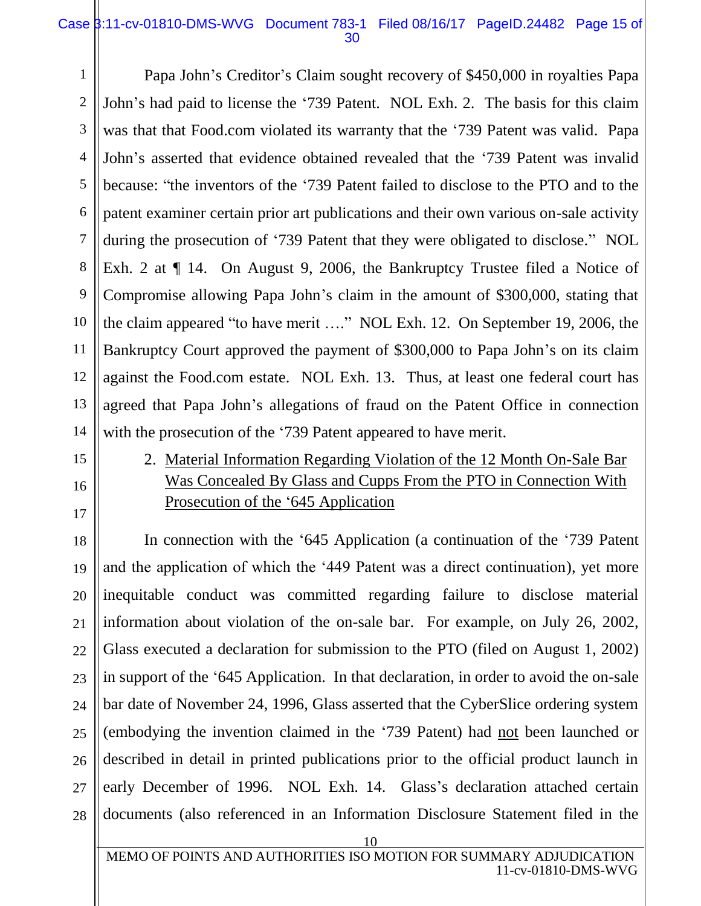#### Case 3:11-cv-01810-DMS-WVG Document 783-1 Filed 08/16/17 PageID.24482 Page 15 of 30

1 2 3 4 5 6 7 8 9 10 11 12 13 14 Papa John's Creditor's Claim sought recovery of \$450,000 in royalties Papa John's had paid to license the '739 Patent. NOL Exh. 2. The basis for this claim was that that Food.com violated its warranty that the '739 Patent was valid. Papa John's asserted that evidence obtained revealed that the '739 Patent was invalid because: "the inventors of the '739 Patent failed to disclose to the PTO and to the patent examiner certain prior art publications and their own various on-sale activity during the prosecution of '739 Patent that they were obligated to disclose." NOL Exh. 2 at  $\P$  14. On August 9, 2006, the Bankruptcy Trustee filed a Notice of Compromise allowing Papa John's claim in the amount of \$300,000, stating that the claim appeared "to have merit …." NOL Exh. 12. On September 19, 2006, the Bankruptcy Court approved the payment of \$300,000 to Papa John's on its claim against the Food.com estate. NOL Exh. 13. Thus, at least one federal court has agreed that Papa John's allegations of fraud on the Patent Office in connection with the prosecution of the '739 Patent appeared to have merit.

15 16

17

2. Material Information Regarding Violation of the 12 Month On-Sale Bar Was Concealed By Glass and Cupps From the PTO in Connection With Prosecution of the '645 Application

18 19 20 21 22 23 24 25 26 27 28 In connection with the '645 Application (a continuation of the '739 Patent and the application of which the '449 Patent was a direct continuation), yet more inequitable conduct was committed regarding failure to disclose material information about violation of the on-sale bar. For example, on July 26, 2002, Glass executed a declaration for submission to the PTO (filed on August 1, 2002) in support of the '645 Application. In that declaration, in order to avoid the on-sale bar date of November 24, 1996, Glass asserted that the CyberSlice ordering system (embodying the invention claimed in the '739 Patent) had not been launched or described in detail in printed publications prior to the official product launch in early December of 1996. NOL Exh. 14. Glass's declaration attached certain documents (also referenced in an Information Disclosure Statement filed in the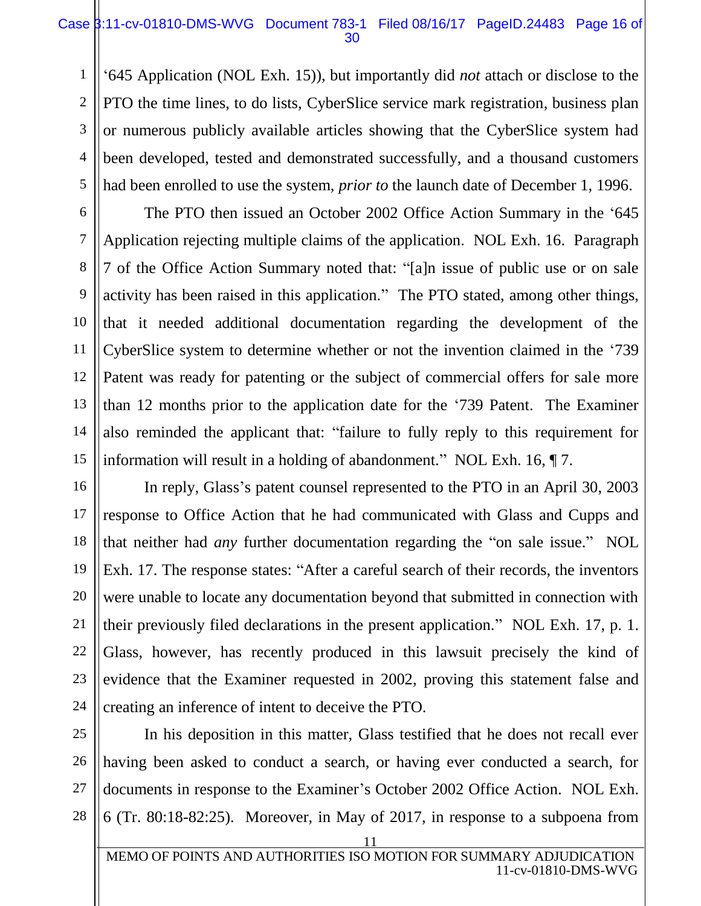#### Case  $\frac{1}{3}$ :11-cv-01810-DMS-WVG Document 783-1 Filed 08/16/17 PageID.24483 Page 16 of 30

'645 Application (NOL Exh. 15)), but importantly did *not* attach or disclose to the PTO the time lines, to do lists, CyberSlice service mark registration, business plan or numerous publicly available articles showing that the CyberSlice system had been developed, tested and demonstrated successfully, and a thousand customers had been enrolled to use the system, *prior to* the launch date of December 1, 1996.

 The PTO then issued an October 2002 Office Action Summary in the '645 Application rejecting multiple claims of the application. NOL Exh. 16. Paragraph 7 of the Office Action Summary noted that: "[a]n issue of public use or on sale activity has been raised in this application." The PTO stated, among other things, that it needed additional documentation regarding the development of the CyberSlice system to determine whether or not the invention claimed in the '739 Patent was ready for patenting or the subject of commercial offers for sale more than 12 months prior to the application date for the '739 Patent. The Examiner also reminded the applicant that: "failure to fully reply to this requirement for information will result in a holding of abandonment." NOL Exh. 16, ¶ 7.

16 18 19 20 22 23 In reply, Glass's patent counsel represented to the PTO in an April 30, 2003 response to Office Action that he had communicated with Glass and Cupps and that neither had *any* further documentation regarding the "on sale issue." NOL Exh. 17. The response states: "After a careful search of their records, the inventors were unable to locate any documentation beyond that submitted in connection with their previously filed declarations in the present application." NOL Exh. 17, p. 1. Glass, however, has recently produced in this lawsuit precisely the kind of evidence that the Examiner requested in 2002, proving this statement false and creating an inference of intent to deceive the PTO.

1

2

3

4

5

6

7

8

9

10

11

12

13

14

15

17

21

In his deposition in this matter, Glass testified that he does not recall ever having been asked to conduct a search, or having ever conducted a search, for documents in response to the Examiner's October 2002 Office Action. NOL Exh. 6 (Tr. 80:18-82:25). Moreover, in May of 2017, in response to a subpoena from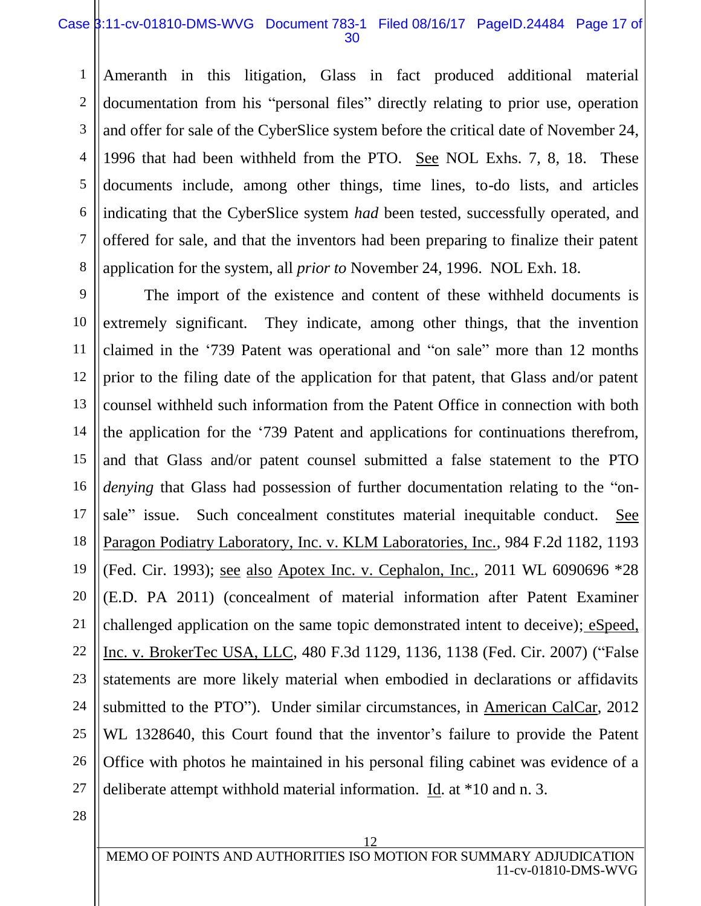#### Case  $\frac{1}{3}$ :11-cv-01810-DMS-WVG Document 783-1 Filed 08/16/17 PageID.24484 Page 17 of 30

1 2 3 4 5 6 7 8 Ameranth in this litigation, Glass in fact produced additional material documentation from his "personal files" directly relating to prior use, operation and offer for sale of the CyberSlice system before the critical date of November 24, 1996 that had been withheld from the PTO. See NOL Exhs. 7, 8, 18. These documents include, among other things, time lines, to-do lists, and articles indicating that the CyberSlice system *had* been tested, successfully operated, and offered for sale, and that the inventors had been preparing to finalize their patent application for the system, all *prior to* November 24, 1996. NOL Exh. 18.

9 10 11 12 13 14 15 16 17 18 19 20 21 22 23 24 25 26 27 The import of the existence and content of these withheld documents is extremely significant. They indicate, among other things, that the invention claimed in the '739 Patent was operational and "on sale" more than 12 months prior to the filing date of the application for that patent, that Glass and/or patent counsel withheld such information from the Patent Office in connection with both the application for the '739 Patent and applications for continuations therefrom, and that Glass and/or patent counsel submitted a false statement to the PTO *denying* that Glass had possession of further documentation relating to the "onsale" issue. Such concealment constitutes material inequitable conduct. See Paragon Podiatry Laboratory, Inc. v. KLM Laboratories, Inc., 984 F.2d 1182, 1193 (Fed. Cir. 1993); see also Apotex Inc. v. Cephalon, Inc., 2011 WL 6090696 \*28 (E.D. PA 2011) (concealment of material information after Patent Examiner challenged application on the same topic demonstrated intent to deceive); eSpeed, Inc. v. BrokerTec USA, LLC, 480 F.3d 1129, 1136, 1138 (Fed. Cir. 2007) ("False statements are more likely material when embodied in declarations or affidavits submitted to the PTO"). Under similar circumstances, in American CalCar, 2012 WL 1328640, this Court found that the inventor's failure to provide the Patent Office with photos he maintained in his personal filing cabinet was evidence of a deliberate attempt withhold material information. Id. at \*10 and n. 3.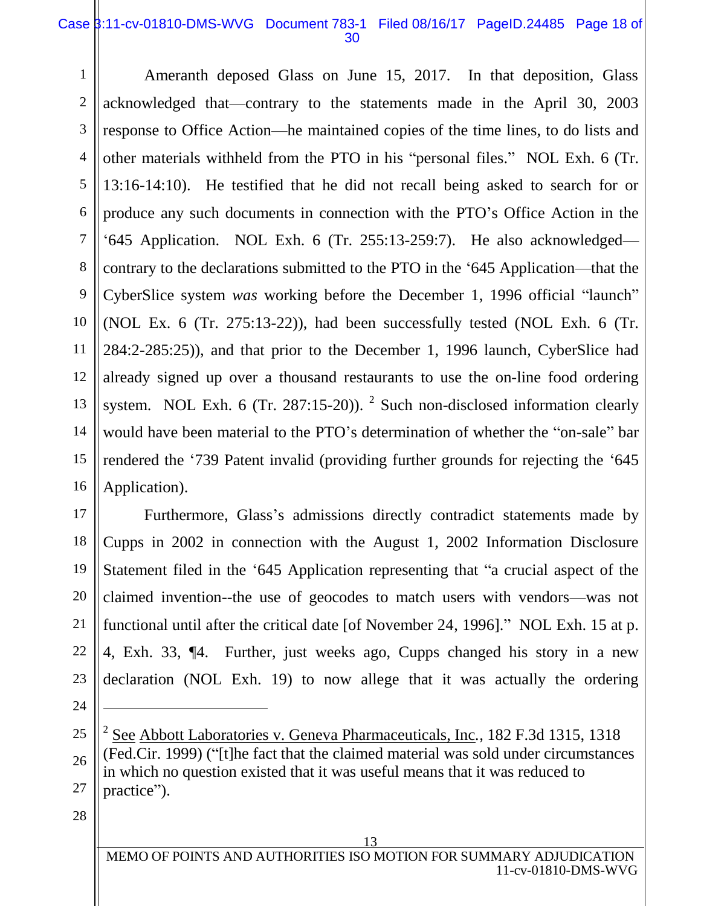#### Case 3:11-cv-01810-DMS-WVG Document 783-1 Filed 08/16/17 PageID.24485 Page 18 of 30

1

Ameranth deposed Glass on June 15, 2017. In that deposition, Glass acknowledged that—contrary to the statements made in the April 30, 2003 response to Office Action—he maintained copies of the time lines, to do lists and other materials withheld from the PTO in his "personal files." NOL Exh. 6 (Tr. 13:16-14:10). He testified that he did not recall being asked to search for or produce any such documents in connection with the PTO's Office Action in the '645 Application. NOL Exh. 6 (Tr. 255:13-259:7). He also acknowledged contrary to the declarations submitted to the PTO in the '645 Application—that the CyberSlice system *was* working before the December 1, 1996 official "launch" (NOL Ex. 6 (Tr. 275:13-22)), had been successfully tested (NOL Exh. 6 (Tr. 284:2-285:25)), and that prior to the December 1, 1996 launch, CyberSlice had already signed up over a thousand restaurants to use the on-line food ordering system. NOL Exh. 6 (Tr. 287:15-20)). <sup>2</sup> Such non-disclosed information clearly would have been material to the PTO's determination of whether the "on-sale" bar rendered the '739 Patent invalid (providing further grounds for rejecting the '645 Application).

Furthermore, Glass's admissions directly contradict statements made by Cupps in 2002 in connection with the August 1, 2002 Information Disclosure Statement filed in the '645 Application representing that "a crucial aspect of the claimed invention--the use of geocodes to match users with vendors—was not functional until after the critical date [of November 24, 1996]." NOL Exh. 15 at p. 4, Exh. 33, ¶4. Further, just weeks ago, Cupps changed his story in a new declaration (NOL Exh. 19) to now allege that it was actually the ordering

25

 $\overline{a}$ 

2 See Abbott Laboratories v. Geneva Pharmaceuticals, Inc*.,* 182 F.3d 1315, 1318 (Fed.Cir. 1999) ("[t]he fact that the claimed material was sold under circumstances in which no question existed that it was useful means that it was reduced to practice").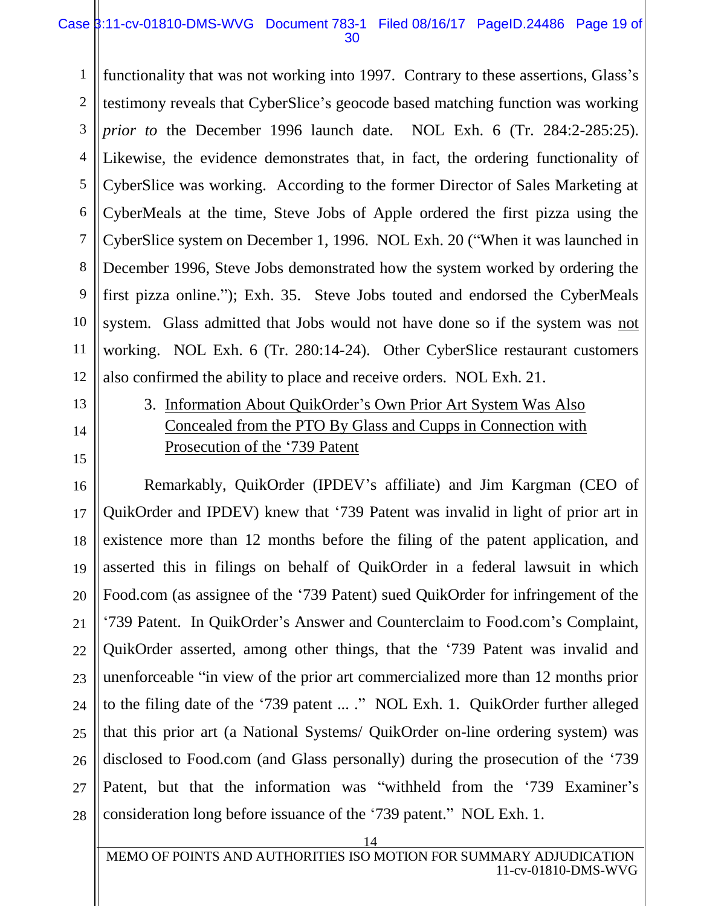#### Case 3:11-cv-01810-DMS-WVG Document 783-1 Filed 08/16/17 PageID.24486 Page 19 of 30

1 2 3 4 5 6 7 8 9 10 11 12 functionality that was not working into 1997. Contrary to these assertions, Glass's testimony reveals that CyberSlice's geocode based matching function was working *prior to* the December 1996 launch date. NOL Exh. 6 (Tr. 284:2-285:25). Likewise, the evidence demonstrates that, in fact, the ordering functionality of CyberSlice was working. According to the former Director of Sales Marketing at CyberMeals at the time, Steve Jobs of Apple ordered the first pizza using the CyberSlice system on December 1, 1996. NOL Exh. 20 ("When it was launched in December 1996, Steve Jobs demonstrated how the system worked by ordering the first pizza online."); Exh. 35. Steve Jobs touted and endorsed the CyberMeals system. Glass admitted that Jobs would not have done so if the system was not working. NOL Exh. 6 (Tr. 280:14-24). Other CyberSlice restaurant customers also confirmed the ability to place and receive orders. NOL Exh. 21.

# 13

14

15

17

18

19

21

22

23

24

25

27

28

## 3. Information About QuikOrder's Own Prior Art System Was Also Concealed from the PTO By Glass and Cupps in Connection with Prosecution of the '739 Patent

16 20 26 Remarkably, QuikOrder (IPDEV's affiliate) and Jim Kargman (CEO of QuikOrder and IPDEV) knew that '739 Patent was invalid in light of prior art in existence more than 12 months before the filing of the patent application, and asserted this in filings on behalf of QuikOrder in a federal lawsuit in which Food.com (as assignee of the '739 Patent) sued QuikOrder for infringement of the '739 Patent. In QuikOrder's Answer and Counterclaim to Food.com's Complaint, QuikOrder asserted, among other things, that the '739 Patent was invalid and unenforceable "in view of the prior art commercialized more than 12 months prior to the filing date of the '739 patent ... ." NOL Exh. 1. QuikOrder further alleged that this prior art (a National Systems/ QuikOrder on-line ordering system) was disclosed to Food.com (and Glass personally) during the prosecution of the '739 Patent, but that the information was "withheld from the '739 Examiner's consideration long before issuance of the '739 patent." NOL Exh. 1.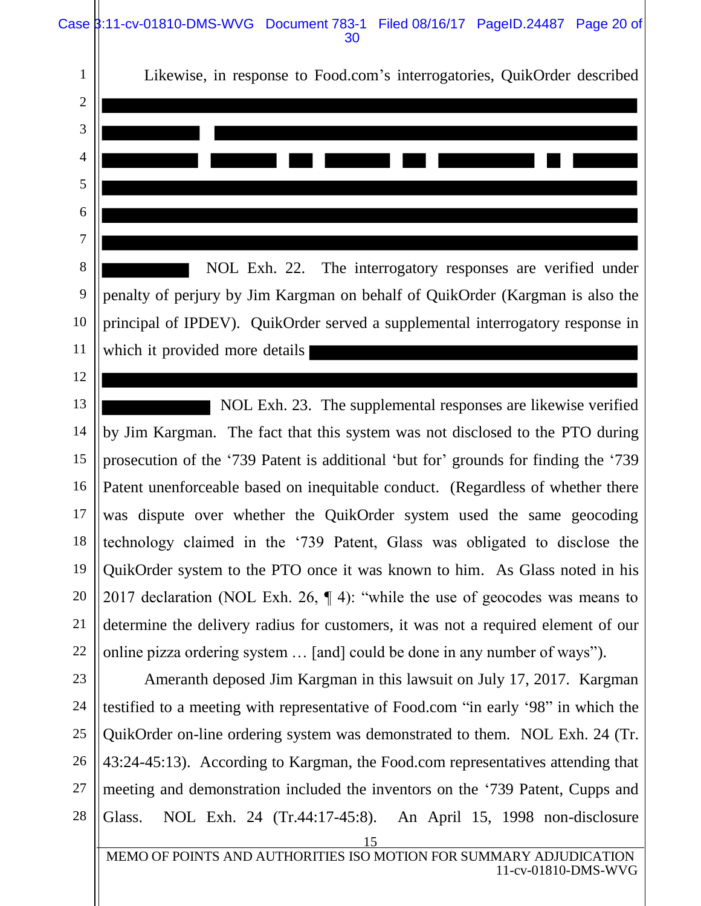Case  $\beta$ :11-cv-01810-DMS-WVG Document 783-1 Filed 08/16/17 PageID.24487 Page 20 of 30

15 MEMO OF POINTS AND AUTHORITIES ISO MOTION FOR SUMMARY ADJUDICATION 11-cv-01810-DMS-WVG 1 2 3 4 5 6 7 8 9 10 11 12 13 14 15 16 17 18 19 20 21 22 23 24 25 26 27 28 Likewise, in response to Food.com's interrogatories, QuikOrder described NOL Exh. 22. The interrogatory responses are verified under penalty of perjury by Jim Kargman on behalf of QuikOrder (Kargman is also the principal of IPDEV). QuikOrder served a supplemental interrogatory response in which it provided more details NOL Exh. 23. The supplemental responses are likewise verified by Jim Kargman. The fact that this system was not disclosed to the PTO during prosecution of the '739 Patent is additional 'but for' grounds for finding the '739 Patent unenforceable based on inequitable conduct. (Regardless of whether there was dispute over whether the QuikOrder system used the same geocoding technology claimed in the '739 Patent, Glass was obligated to disclose the QuikOrder system to the PTO once it was known to him. As Glass noted in his 2017 declaration (NOL Exh. 26, ¶ 4): "while the use of geocodes was means to determine the delivery radius for customers, it was not a required element of our online pizza ordering system … [and] could be done in any number of ways"). Ameranth deposed Jim Kargman in this lawsuit on July 17, 2017. Kargman testified to a meeting with representative of Food.com "in early '98" in which the QuikOrder on-line ordering system was demonstrated to them. NOL Exh. 24 (Tr. 43:24-45:13). According to Kargman, the Food.com representatives attending that meeting and demonstration included the inventors on the '739 Patent, Cupps and Glass. NOL Exh. 24 (Tr.44:17-45:8). An April 15, 1998 non-disclosure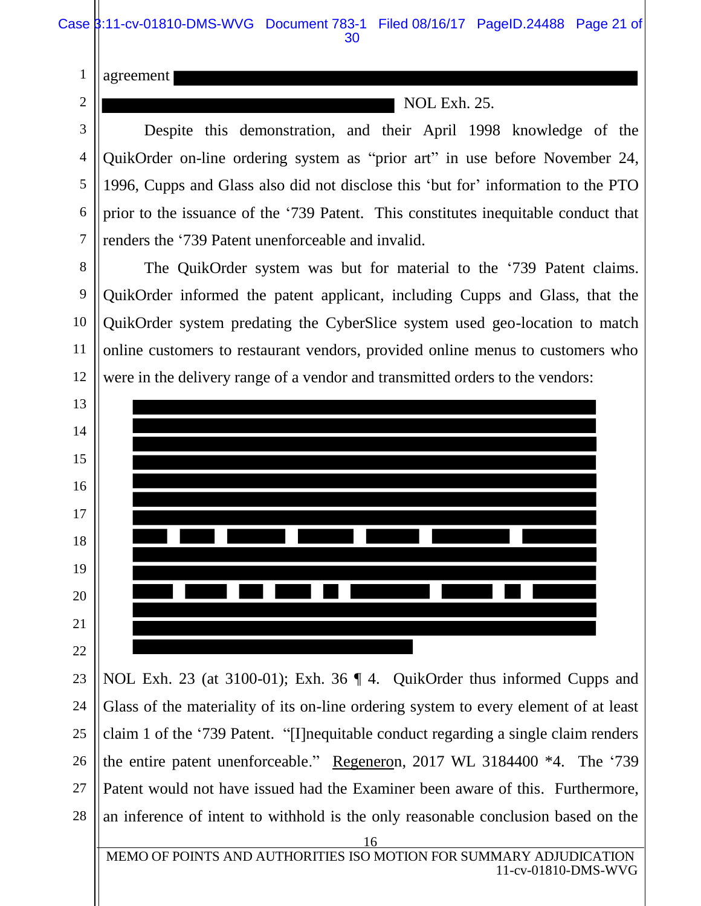agreement

1

2

3

4

5

6

7

8

9

10

11

12

NOL Exh. 25.

Despite this demonstration, and their April 1998 knowledge of the QuikOrder on-line ordering system as "prior art" in use before November 24, 1996, Cupps and Glass also did not disclose this 'but for' information to the PTO prior to the issuance of the '739 Patent. This constitutes inequitable conduct that renders the '739 Patent unenforceable and invalid.

The QuikOrder system was but for material to the '739 Patent claims. QuikOrder informed the patent applicant, including Cupps and Glass, that the QuikOrder system predating the CyberSlice system used geo-location to match online customers to restaurant vendors, provided online menus to customers who were in the delivery range of a vendor and transmitted orders to the vendors:



23 24 25 26 27 28 NOL Exh. 23 (at 3100-01); Exh. 36 ¶ 4. QuikOrder thus informed Cupps and Glass of the materiality of its on-line ordering system to every element of at least claim 1 of the '739 Patent. "[I]nequitable conduct regarding a single claim renders the entire patent unenforceable." Regeneron, 2017 WL 3184400 \*4. The '739 Patent would not have issued had the Examiner been aware of this. Furthermore, an inference of intent to withhold is the only reasonable conclusion based on the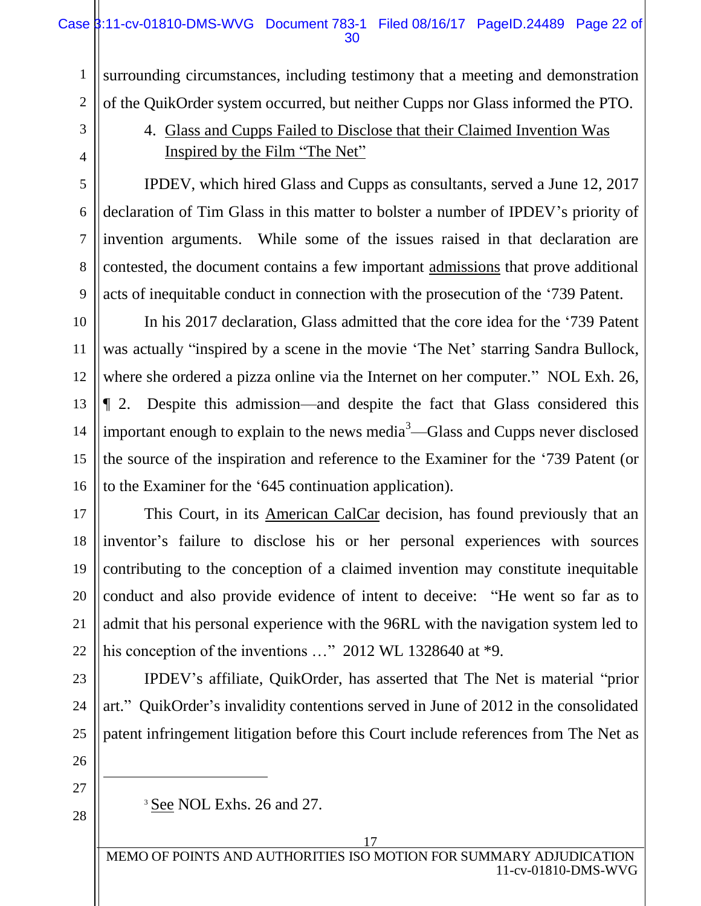surrounding circumstances, including testimony that a meeting and demonstration of the QuikOrder system occurred, but neither Cupps nor Glass informed the PTO.

## 3

1

2

4

5

6

7

8

9

10

11

12

13

14

15

16

17

18

19

20

21

22

## 4. Glass and Cupps Failed to Disclose that their Claimed Invention Was Inspired by the Film "The Net"

IPDEV, which hired Glass and Cupps as consultants, served a June 12, 2017 declaration of Tim Glass in this matter to bolster a number of IPDEV's priority of invention arguments. While some of the issues raised in that declaration are contested, the document contains a few important admissions that prove additional acts of inequitable conduct in connection with the prosecution of the '739 Patent.

 In his 2017 declaration, Glass admitted that the core idea for the '739 Patent was actually "inspired by a scene in the movie 'The Net' starring Sandra Bullock, where she ordered a pizza online via the Internet on her computer." NOL Exh. 26, ¶ 2. Despite this admission—and despite the fact that Glass considered this important enough to explain to the news media $\alpha^3$ —Glass and Cupps never disclosed the source of the inspiration and reference to the Examiner for the '739 Patent (or to the Examiner for the '645 continuation application).

 This Court, in its American CalCar decision, has found previously that an inventor's failure to disclose his or her personal experiences with sources contributing to the conception of a claimed invention may constitute inequitable conduct and also provide evidence of intent to deceive: "He went so far as to admit that his personal experience with the 96RL with the navigation system led to his conception of the inventions ..." 2012 WL 1328640 at \*9.

IPDEV's affiliate, QuikOrder, has asserted that The Net is material "prior art." QuikOrder's invalidity contentions served in June of 2012 in the consolidated patent infringement litigation before this Court include references from The Net as

 $\overline{a}$ 

<sup>3</sup> See NOL Exhs. 26 and 27.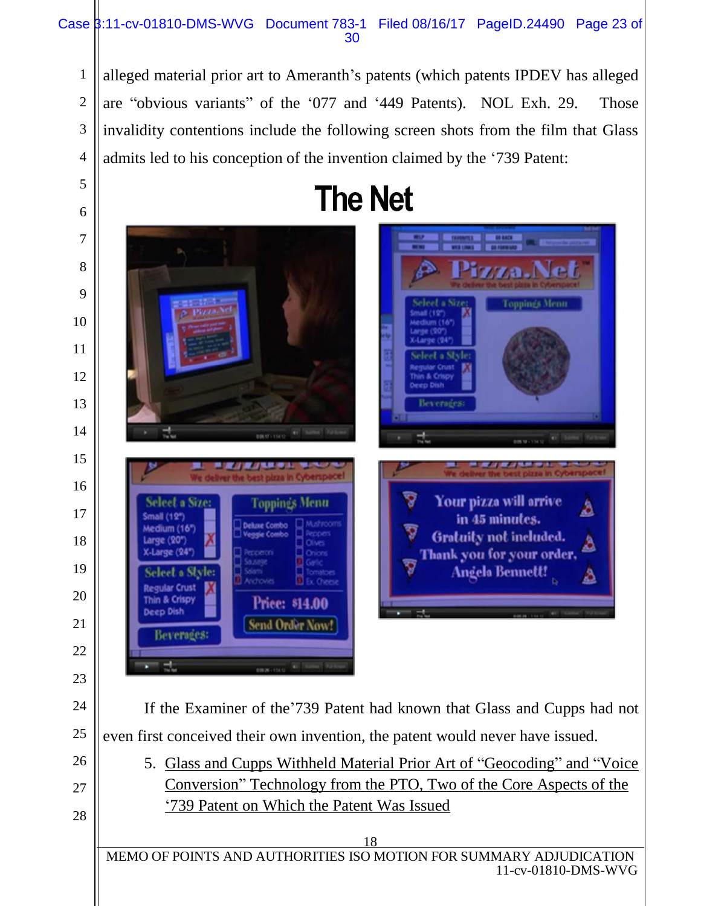#### Case 3:11-cv-01810-DMS-WVG Document 783-1 Filed 08/16/17 PageID.24490 Page 23 of 30

alleged material prior art to Ameranth's patents (which patents IPDEV has alleged are "obvious variants" of the '077 and '449 Patents). NOL Exh. 29. Those invalidity contentions include the following screen shots from the film that Glass admits led to his conception of the invention claimed by the '739 Patent:

24

25

26

27

28

1

2

3



Toppings Menu Your pizza will arrive **Toppings Menu** Δ in 45 minutes. eluse Combo m (16" Gratuity not included. e (20\* Δ Thank you for your order. ie (94' **Angela Bennett!** leet a Sty **Jar Crust** Thin & Crispy Price: \$14.00 **Deep Dish** Send Order Now! **Beverages:** If the Examiner of the'739 Patent had known that Glass and Cupps had not even first conceived their own invention, the patent would never have issued. 5. Glass and Cupps Withheld Material Prior Art of "Geocoding" and "Voice Conversion" Technology from the PTO, Two of the Core Aspects of the '739 Patent on Which the Patent Was Issued 18

MEMO OF POINTS AND AUTHORITIES ISO MOTION FOR SUMMARY ADJUDICATION 11-cv-01810-DMS-WVG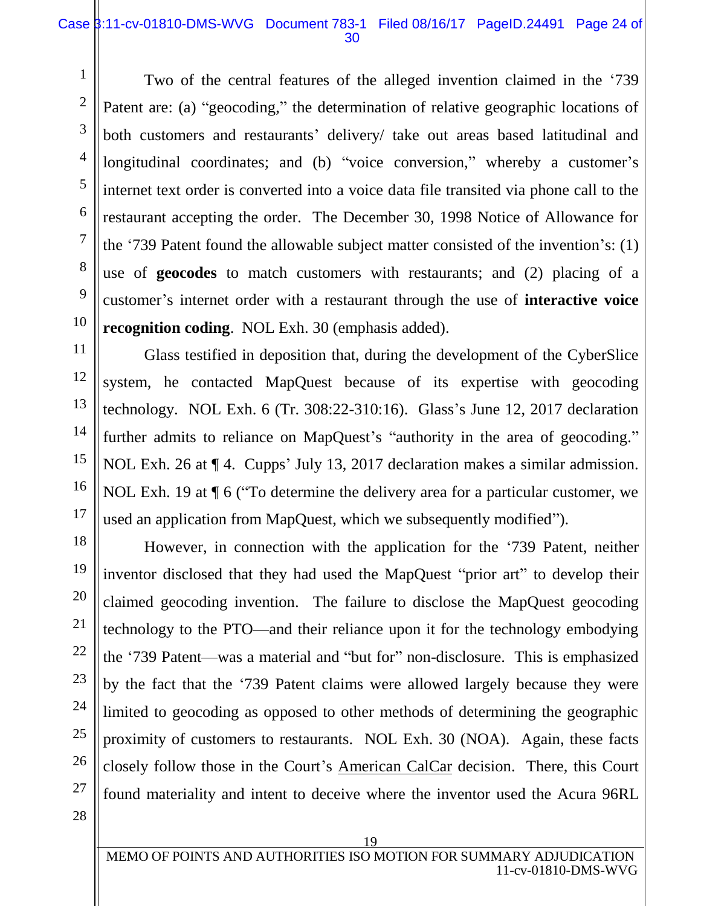#### Case 3:11-cv-01810-DMS-WVG Document 783-1 Filed 08/16/17 PageID.24491 Page 24 of 30

Two of the central features of the alleged invention claimed in the '739 Patent are: (a) "geocoding," the determination of relative geographic locations of both customers and restaurants' delivery/ take out areas based latitudinal and longitudinal coordinates; and (b) "voice conversion," whereby a customer's internet text order is converted into a voice data file transited via phone call to the restaurant accepting the order. The December 30, 1998 Notice of Allowance for the '739 Patent found the allowable subject matter consisted of the invention's: (1) use of **geocodes** to match customers with restaurants; and (2) placing of a customer's internet order with a restaurant through the use of **interactive voice recognition coding**. NOL Exh. 30 (emphasis added).

Glass testified in deposition that, during the development of the CyberSlice system, he contacted MapQuest because of its expertise with geocoding technology. NOL Exh. 6 (Tr. 308:22-310:16). Glass's June 12, 2017 declaration further admits to reliance on MapQuest's "authority in the area of geocoding." NOL Exh. 26 at  $\P$  4. Cupps' July 13, 2017 declaration makes a similar admission. NOL Exh. 19 at ¶ 6 ("To determine the delivery area for a particular customer, we used an application from MapQuest, which we subsequently modified").

However, in connection with the application for the '739 Patent, neither inventor disclosed that they had used the MapQuest "prior art" to develop their claimed geocoding invention. The failure to disclose the MapQuest geocoding technology to the PTO—and their reliance upon it for the technology embodying the '739 Patent—was a material and "but for" non-disclosure. This is emphasized by the fact that the '739 Patent claims were allowed largely because they were limited to geocoding as opposed to other methods of determining the geographic proximity of customers to restaurants. NOL Exh. 30 (NOA). Again, these facts closely follow those in the Court's American CalCar decision. There, this Court found materiality and intent to deceive where the inventor used the Acura 96RL

1

2

3

4

5

6

7

8

9

10

11

12

13

14

15

16

17

18

19

20

21

22

28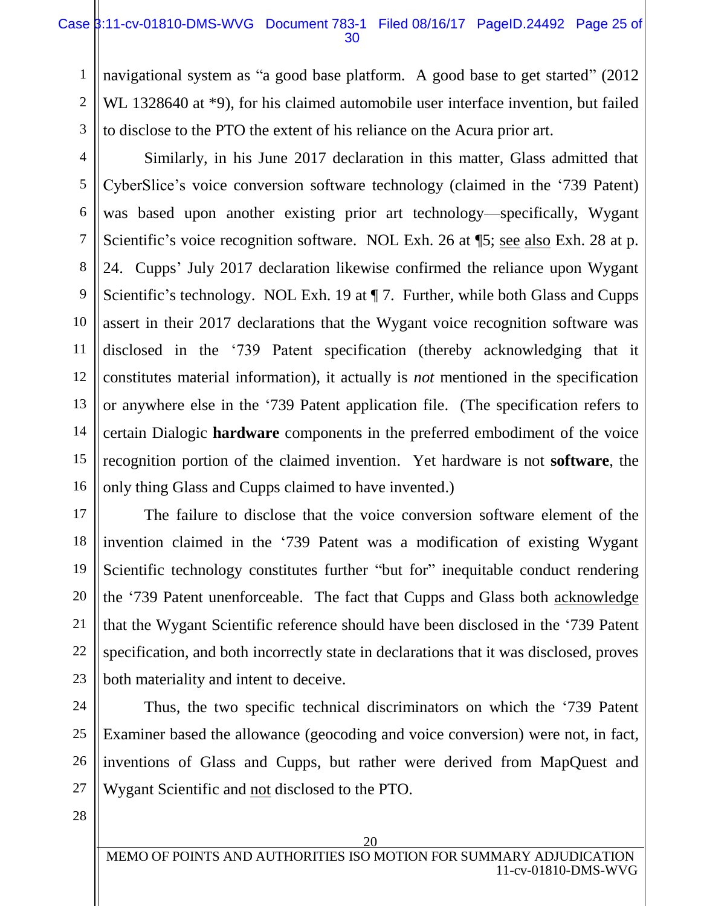#### Case  $\frac{1}{3}$ :11-cv-01810-DMS-WVG Document 783-1 Filed 08/16/17 PageID.24492 Page 25 of 30

navigational system as "a good base platform. A good base to get started" (2012) WL 1328640 at \*9), for his claimed automobile user interface invention, but failed to disclose to the PTO the extent of his reliance on the Acura prior art.

Similarly, in his June 2017 declaration in this matter, Glass admitted that CyberSlice's voice conversion software technology (claimed in the '739 Patent) was based upon another existing prior art technology—specifically, Wygant Scientific's voice recognition software. NOL Exh. 26 at ¶5; see also Exh. 28 at p. 24. Cupps' July 2017 declaration likewise confirmed the reliance upon Wygant Scientific's technology. NOL Exh. 19 at  $\P$  7. Further, while both Glass and Cupps assert in their 2017 declarations that the Wygant voice recognition software was disclosed in the '739 Patent specification (thereby acknowledging that it constitutes material information), it actually is *not* mentioned in the specification or anywhere else in the '739 Patent application file. (The specification refers to certain Dialogic **hardware** components in the preferred embodiment of the voice recognition portion of the claimed invention. Yet hardware is not **software**, the only thing Glass and Cupps claimed to have invented.)

20 The failure to disclose that the voice conversion software element of the invention claimed in the '739 Patent was a modification of existing Wygant Scientific technology constitutes further "but for" inequitable conduct rendering the '739 Patent unenforceable. The fact that Cupps and Glass both acknowledge that the Wygant Scientific reference should have been disclosed in the '739 Patent specification, and both incorrectly state in declarations that it was disclosed, proves both materiality and intent to deceive.

Thus, the two specific technical discriminators on which the '739 Patent Examiner based the allowance (geocoding and voice conversion) were not, in fact, inventions of Glass and Cupps, but rather were derived from MapQuest and Wygant Scientific and not disclosed to the PTO.

1

2

3

4

5

6

7

8

9

10

11

12

13

14

15

16

17

18

19

21

22

23

24

25

26

27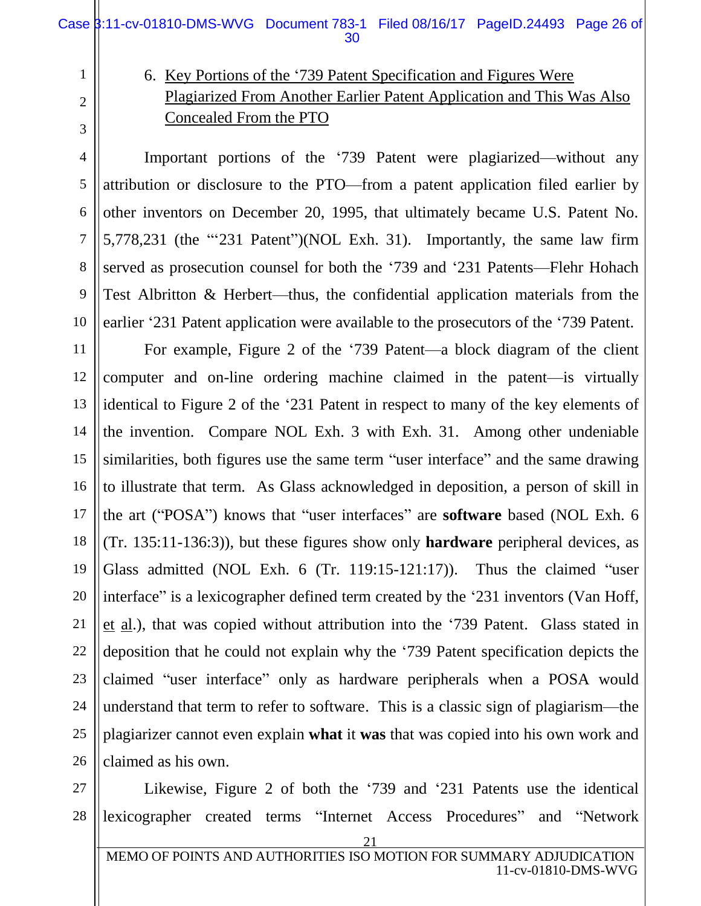## 6. Key Portions of the '739 Patent Specification and Figures Were Plagiarized From Another Earlier Patent Application and This Was Also Concealed From the PTO

Important portions of the '739 Patent were plagiarized—without any attribution or disclosure to the PTO—from a patent application filed earlier by other inventors on December 20, 1995, that ultimately became U.S. Patent No. 5,778,231 (the "'231 Patent")(NOL Exh. 31). Importantly, the same law firm served as prosecution counsel for both the '739 and '231 Patents—Flehr Hohach Test Albritton & Herbert—thus, the confidential application materials from the earlier '231 Patent application were available to the prosecutors of the '739 Patent.

For example, Figure 2 of the '739 Patent—a block diagram of the client computer and on-line ordering machine claimed in the patent—is virtually identical to Figure 2 of the '231 Patent in respect to many of the key elements of the invention. Compare NOL Exh. 3 with Exh. 31. Among other undeniable similarities, both figures use the same term "user interface" and the same drawing to illustrate that term. As Glass acknowledged in deposition, a person of skill in the art ("POSA") knows that "user interfaces" are **software** based (NOL Exh. 6 (Tr. 135:11-136:3)), but these figures show only **hardware** peripheral devices, as Glass admitted (NOL Exh. 6 (Tr. 119:15-121:17)). Thus the claimed "user interface" is a lexicographer defined term created by the '231 inventors (Van Hoff, et al.), that was copied without attribution into the '739 Patent. Glass stated in deposition that he could not explain why the '739 Patent specification depicts the claimed "user interface" only as hardware peripherals when a POSA would understand that term to refer to software. This is a classic sign of plagiarism—the plagiarizer cannot even explain **what** it **was** that was copied into his own work and claimed as his own.

Likewise, Figure 2 of both the '739 and '231 Patents use the identical lexicographer created terms "Internet Access Procedures" and "Network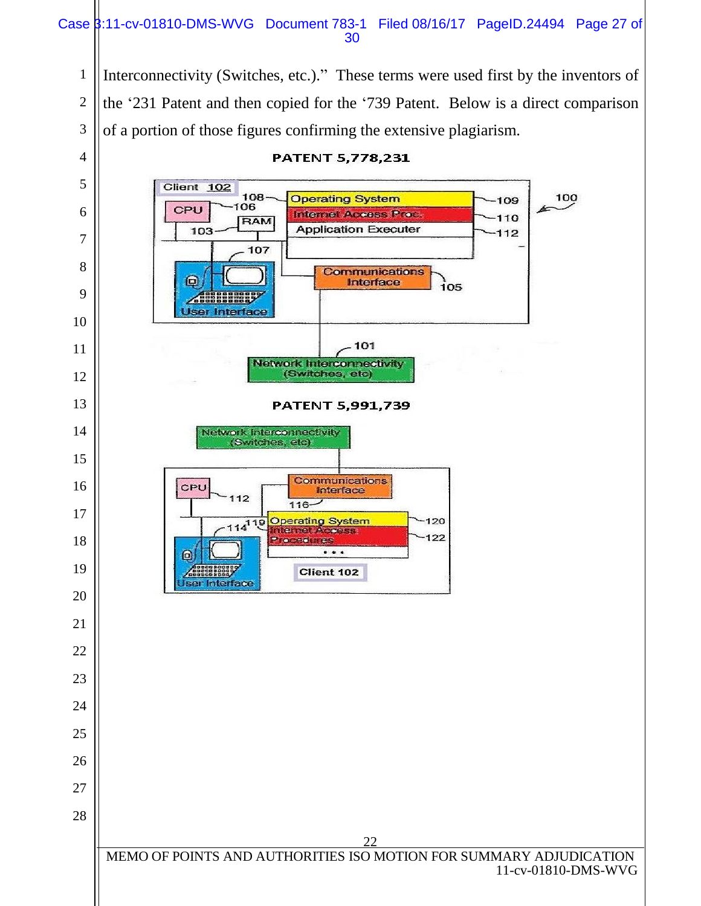#### Case 3:11-cv-01810-DMS-WVG Document 783-1 Filed 08/16/17 PageID.24494 Page 27 of

 Interconnectivity (Switches, etc.)." These terms were used first by the inventors of the '231 Patent and then copied for the '739 Patent. Below is a direct comparison of a portion of those figures confirming the extensive plagiarism.

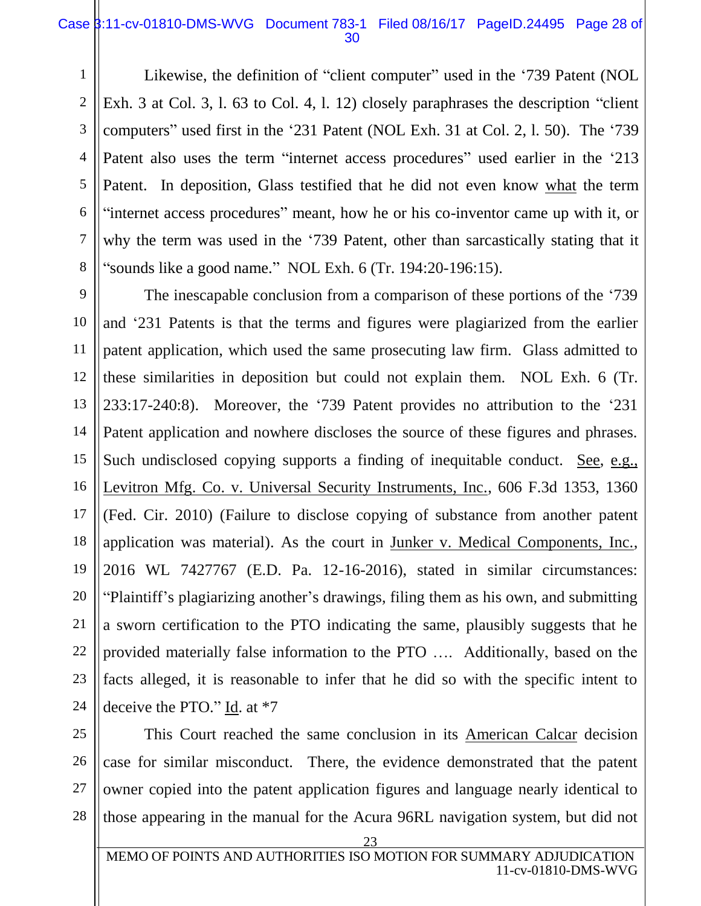#### Case  $\frac{1}{3}$ :11-cv-01810-DMS-WVG Document 783-1 Filed 08/16/17 PageID.24495 Page 28 of 30

Likewise, the definition of "client computer" used in the '739 Patent (NOL Exh. 3 at Col. 3, l. 63 to Col. 4, l. 12) closely paraphrases the description "client computers" used first in the '231 Patent (NOL Exh. 31 at Col. 2, l. 50). The '739 Patent also uses the term "internet access procedures" used earlier in the '213 Patent. In deposition, Glass testified that he did not even know what the term "internet access procedures" meant, how he or his co-inventor came up with it, or why the term was used in the '739 Patent, other than sarcastically stating that it "sounds like a good name." NOL Exh. 6 (Tr. 194:20-196:15).

9 12 13 14 15 16 18 19 20 22 The inescapable conclusion from a comparison of these portions of the '739 and '231 Patents is that the terms and figures were plagiarized from the earlier patent application, which used the same prosecuting law firm. Glass admitted to these similarities in deposition but could not explain them. NOL Exh. 6 (Tr. 233:17-240:8). Moreover, the '739 Patent provides no attribution to the '231 Patent application and nowhere discloses the source of these figures and phrases. Such undisclosed copying supports a finding of inequitable conduct. See, e.g., Levitron Mfg. Co. v. Universal Security Instruments, Inc., 606 F.3d 1353, 1360 (Fed. Cir. 2010) (Failure to disclose copying of substance from another patent application was material). As the court in Junker v. Medical Components, Inc., 2016 WL 7427767 (E.D. Pa. 12-16-2016), stated in similar circumstances: "Plaintiff's plagiarizing another's drawings, filing them as his own, and submitting a sworn certification to the PTO indicating the same, plausibly suggests that he provided materially false information to the PTO …. Additionally, based on the facts alleged, it is reasonable to infer that he did so with the specific intent to deceive the PTO." Id. at \*7

1

2

3

4

5

6

7

8

10

11

17

21

23

28

23 MEMO OF POINTS AND AUTHORITIES ISO MOTION FOR SUMMARY ADJUDICATION 11-cv-01810-DMS-WVG

case for similar misconduct. There, the evidence demonstrated that the patent

owner copied into the patent application figures and language nearly identical to

those appearing in the manual for the Acura 96RL navigation system, but did not

This Court reached the same conclusion in its American Calcar decision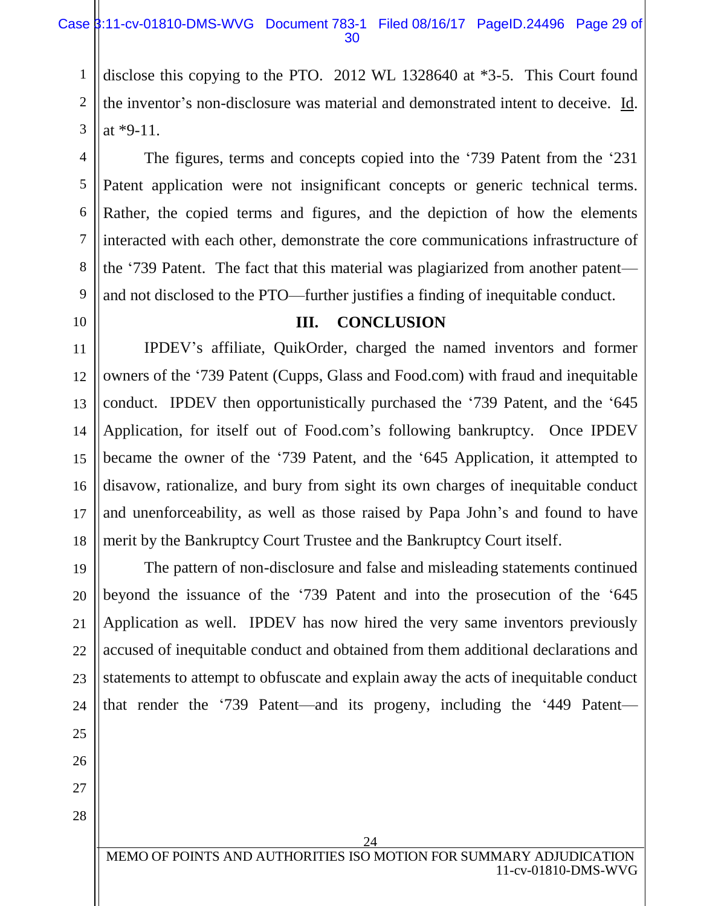disclose this copying to the PTO. 2012 WL 1328640 at \*3-5. This Court found the inventor's non-disclosure was material and demonstrated intent to deceive. Id. at \*9-11.

The figures, terms and concepts copied into the '739 Patent from the '231 Patent application were not insignificant concepts or generic technical terms. Rather, the copied terms and figures, and the depiction of how the elements interacted with each other, demonstrate the core communications infrastructure of the '739 Patent. The fact that this material was plagiarized from another patent and not disclosed to the PTO—further justifies a finding of inequitable conduct.

#### **III. CONCLUSION**

IPDEV's affiliate, QuikOrder, charged the named inventors and former owners of the '739 Patent (Cupps, Glass and Food.com) with fraud and inequitable conduct. IPDEV then opportunistically purchased the '739 Patent, and the '645 Application, for itself out of Food.com's following bankruptcy. Once IPDEV became the owner of the '739 Patent, and the '645 Application, it attempted to disavow, rationalize, and bury from sight its own charges of inequitable conduct and unenforceability, as well as those raised by Papa John's and found to have merit by the Bankruptcy Court Trustee and the Bankruptcy Court itself.

19 20 21 22 23 The pattern of non-disclosure and false and misleading statements continued beyond the issuance of the '739 Patent and into the prosecution of the '645 Application as well. IPDEV has now hired the very same inventors previously accused of inequitable conduct and obtained from them additional declarations and statements to attempt to obfuscate and explain away the acts of inequitable conduct that render the '739 Patent—and its progeny, including the '449 Patent—

28

1

2

3

4

5

6

7

8

9

10

11

12

13

14

15

16

17

18

24 MEMO OF POINTS AND AUTHORITIES ISO MOTION FOR SUMMA 11-cv-01810-DMS-WVG